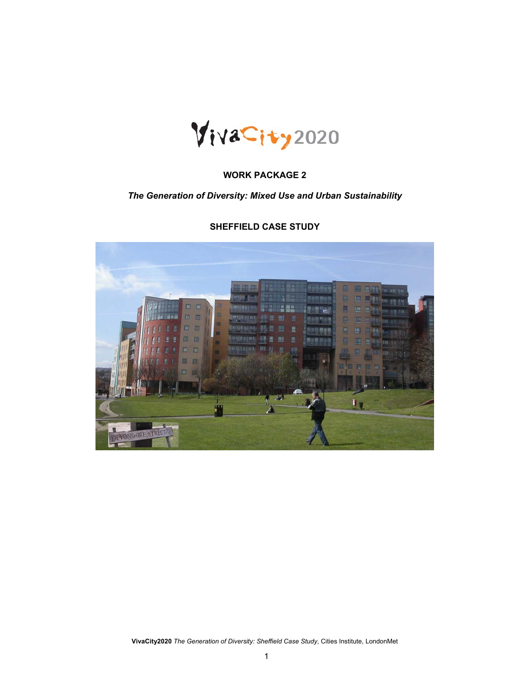

## **WORK PACKAGE 2**

## *The Generation of Diversity: Mixed Use and Urban Sustainability*

# $\mathbf{I}_{\parallel}$ F

#### **SHEFFIELD CASE STUDY**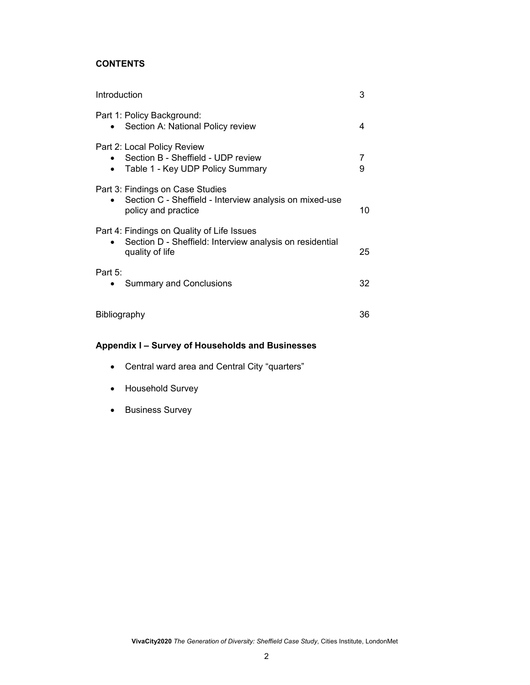## **CONTENTS**

| Introduction                                                                                                              |        |
|---------------------------------------------------------------------------------------------------------------------------|--------|
| Part 1: Policy Background:<br>Section A: National Policy review                                                           | 4      |
| Part 2: Local Policy Review<br>Section B - Sheffield - UDP review<br>Table 1 - Key UDP Policy Summary                     | 7<br>9 |
| Part 3: Findings on Case Studies<br>Section C - Sheffield - Interview analysis on mixed-use<br>policy and practice        | 10     |
| Part 4: Findings on Quality of Life Issues<br>Section D - Sheffield: Interview analysis on residential<br>quality of life | 25     |
| Part $5$ :<br><b>Summary and Conclusions</b>                                                                              | 32     |
| <b>Bibliography</b>                                                                                                       | 36     |

## **Appendix I – Survey of Households and Businesses**

- Central ward area and Central City "quarters"
- Household Survey
- Business Survey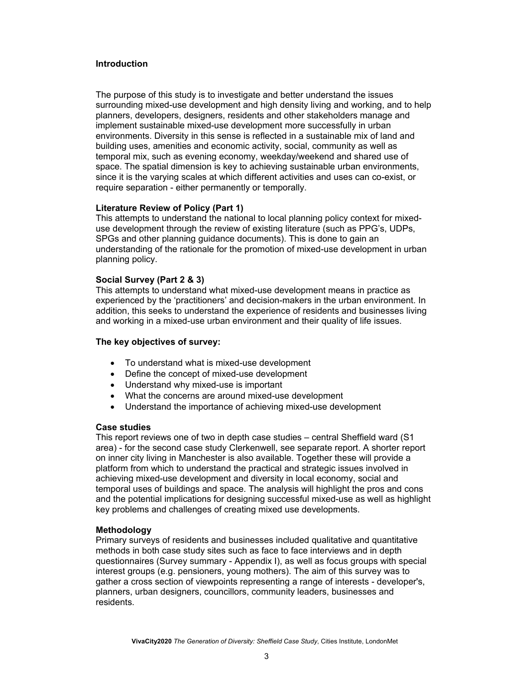#### **Introduction**

The purpose of this study is to investigate and better understand the issues surrounding mixed-use development and high density living and working, and to help planners, developers, designers, residents and other stakeholders manage and implement sustainable mixed-use development more successfully in urban environments. Diversity in this sense is reflected in a sustainable mix of land and building uses, amenities and economic activity, social, community as well as temporal mix, such as evening economy, weekday/weekend and shared use of space. The spatial dimension is key to achieving sustainable urban environments, since it is the varying scales at which different activities and uses can co-exist, or require separation - either permanently or temporally.

#### **Literature Review of Policy (Part 1)**

This attempts to understand the national to local planning policy context for mixeduse development through the review of existing literature (such as PPG's, UDPs, SPGs and other planning guidance documents). This is done to gain an understanding of the rationale for the promotion of mixed-use development in urban planning policy.

#### **Social Survey (Part 2 & 3)**

This attempts to understand what mixed-use development means in practice as experienced by the 'practitioners' and decision-makers in the urban environment. In addition, this seeks to understand the experience of residents and businesses living and working in a mixed-use urban environment and their quality of life issues.

#### **The key objectives of survey:**

- To understand what is mixed-use development
- Define the concept of mixed-use development
- Understand why mixed-use is important
- What the concerns are around mixed-use development
- Understand the importance of achieving mixed-use development

#### **Case studies**

This report reviews one of two in depth case studies – central Sheffield ward (S1 area) - for the second case study Clerkenwell, see separate report. A shorter report on inner city living in Manchester is also available. Together these will provide a platform from which to understand the practical and strategic issues involved in achieving mixed-use development and diversity in local economy, social and temporal uses of buildings and space. The analysis will highlight the pros and cons and the potential implications for designing successful mixed-use as well as highlight key problems and challenges of creating mixed use developments.

#### **Methodology**

Primary surveys of residents and businesses included qualitative and quantitative methods in both case study sites such as face to face interviews and in depth questionnaires (Survey summary - Appendix I), as well as focus groups with special interest groups (e.g. pensioners, young mothers). The aim of this survey was to gather a cross section of viewpoints representing a range of interests - developer's, planners, urban designers, councillors, community leaders, businesses and residents.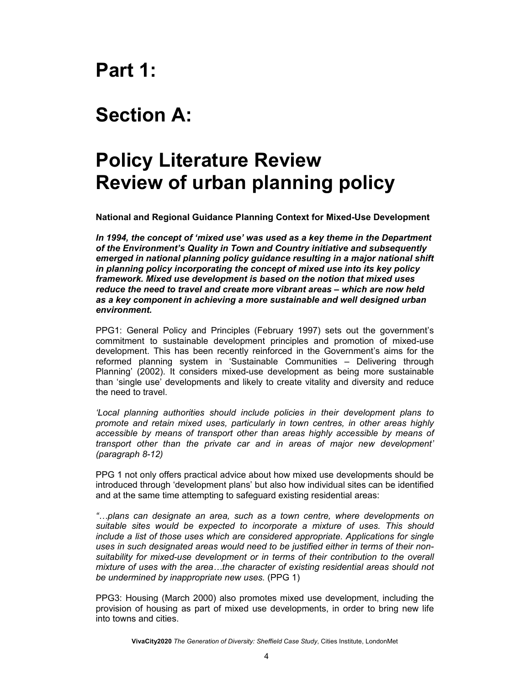# **Part 1:**

# **Section A:**

# **Policy Literature Review Review of urban planning policy**

**National and Regional Guidance Planning Context for Mixed-Use Development** 

*In 1994, the concept of 'mixed use' was used as a key theme in the Department of the Environment's Quality in Town and Country initiative and subsequently emerged in national planning policy guidance resulting in a major national shift in planning policy incorporating the concept of mixed use into its key policy framework. Mixed use development is based on the notion that mixed uses reduce the need to travel and create more vibrant areas – which are now held as a key component in achieving a more sustainable and well designed urban environment.* 

PPG1: General Policy and Principles (February 1997) sets out the government's commitment to sustainable development principles and promotion of mixed-use development. This has been recently reinforced in the Government's aims for the reformed planning system in 'Sustainable Communities – Delivering through Planning' (2002). It considers mixed-use development as being more sustainable than 'single use' developments and likely to create vitality and diversity and reduce the need to travel.

*'Local planning authorities should include policies in their development plans to promote and retain mixed uses, particularly in town centres, in other areas highly accessible by means of transport other than areas highly accessible by means of transport other than the private car and in areas of major new development' (paragraph 8-12)* 

PPG 1 not only offers practical advice about how mixed use developments should be introduced through 'development plans' but also how individual sites can be identified and at the same time attempting to safeguard existing residential areas:

*"…plans can designate an area, such as a town centre, where developments on suitable sites would be expected to incorporate a mixture of uses. This should include a list of those uses which are considered appropriate. Applications for single uses in such designated areas would need to be justified either in terms of their nonsuitability for mixed-use development or in terms of their contribution to the overall mixture of uses with the area…the character of existing residential areas should not be undermined by inappropriate new uses.* (PPG 1)

PPG3: Housing (March 2000) also promotes mixed use development, including the provision of housing as part of mixed use developments, in order to bring new life into towns and cities.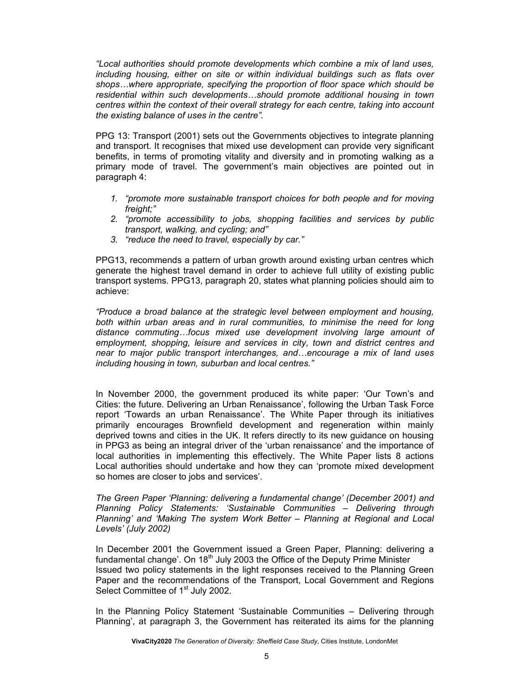*"Local authorities should promote developments which combine a mix of land uses, including housing, either on site or within individual buildings such as flats over shops…where appropriate, specifying the proportion of floor space which should be residential within such developments…should promote additional housing in town centres within the context of their overall strategy for each centre, taking into account the existing balance of uses in the centre".* 

PPG 13: Transport (2001) sets out the Governments objectives to integrate planning and transport. It recognises that mixed use development can provide very significant benefits, in terms of promoting vitality and diversity and in promoting walking as a primary mode of travel. The government's main objectives are pointed out in paragraph 4:

- *1. "promote more sustainable transport choices for both people and for moving freight;"*
- *2. "promote accessibility to jobs, shopping facilities and services by public transport, walking, and cycling; and"*
- *3. "reduce the need to travel, especially by car."*

PPG13, recommends a pattern of urban growth around existing urban centres which generate the highest travel demand in order to achieve full utility of existing public transport systems. PPG13, paragraph 20, states what planning policies should aim to achieve:

*"Produce a broad balance at the strategic level between employment and housing, both within urban areas and in rural communities, to minimise the need for long distance commuting…focus mixed use development involving large amount of employment, shopping, leisure and services in city, town and district centres and near to major public transport interchanges, and…encourage a mix of land uses including housing in town, suburban and local centres."* 

In November 2000, the government produced its white paper: 'Our Town's and Cities: the future. Delivering an Urban Renaissance', following the Urban Task Force report 'Towards an urban Renaissance'. The White Paper through its initiatives primarily encourages Brownfield development and regeneration within mainly deprived towns and cities in the UK. It refers directly to its new guidance on housing in PPG3 as being an integral driver of the 'urban renaissance' and the importance of local authorities in implementing this effectively. The White Paper lists 8 actions Local authorities should undertake and how they can 'promote mixed development so homes are closer to jobs and services'.

*The Green Paper 'Planning: delivering a fundamental change' (December 2001) and Planning Policy Statements: 'Sustainable Communities – Delivering through Planning' and 'Making The system Work Better – Planning at Regional and Local Levels' (July 2002)* 

In December 2001 the Government issued a Green Paper, Planning: delivering a fundamental change'. On  $18<sup>th</sup>$  July 2003 the Office of the Deputy Prime Minister Issued two policy statements in the light responses received to the Planning Green Paper and the recommendations of the Transport, Local Government and Regions Select Committee of 1<sup>st</sup> July 2002.

In the Planning Policy Statement 'Sustainable Communities – Delivering through Planning', at paragraph 3, the Government has reiterated its aims for the planning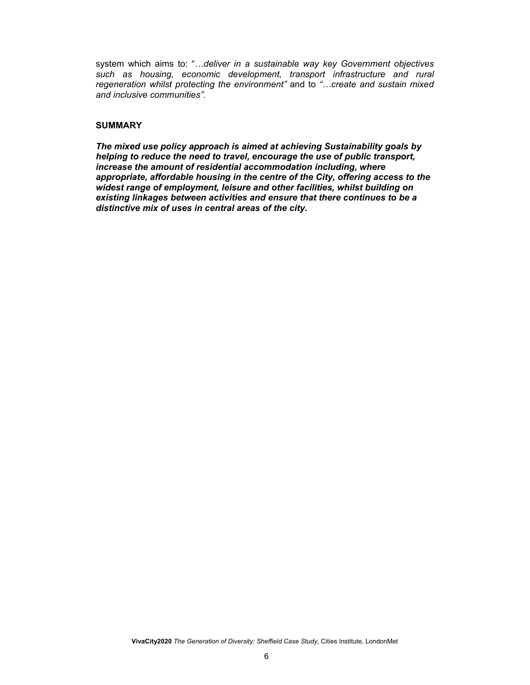system which aims to: "*…deliver in a sustainable way key Government objectives such as housing, economic development, transport infrastructure and rural regeneration whilst protecting the environment"* and to *"…create and sustain mixed and inclusive communities".*

#### **SUMMARY**

*The mixed use policy approach is aimed at achieving Sustainability goals by helping to reduce the need to travel, encourage the use of public transport, increase the amount of residential accommodation including, where appropriate, affordable housing in the centre of the City, offering access to the widest range of employment, leisure and other facilities, whilst building on existing linkages between activities and ensure that there continues to be a distinctive mix of uses in central areas of the city.*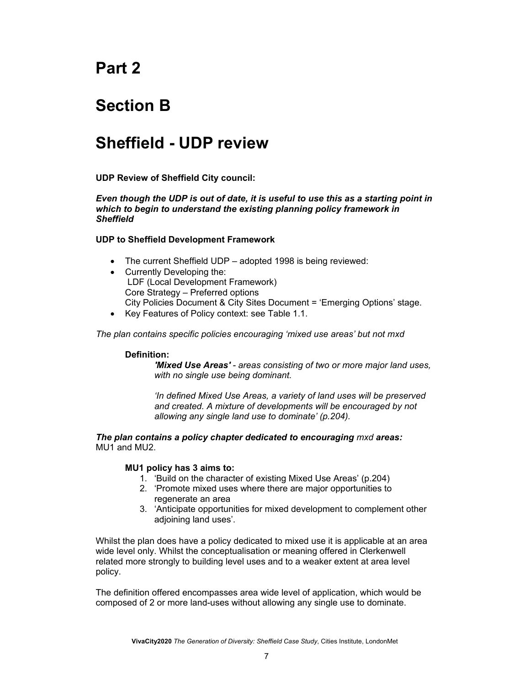# **Part 2**

# **Section B**

# **Sheffield - UDP review**

**UDP Review of Sheffield City council:** 

*Even though the UDP is out of date, it is useful to use this as a starting point in which to begin to understand the existing planning policy framework in Sheffield* 

#### **UDP to Sheffield Development Framework**

- The current Sheffield UDP adopted 1998 is being reviewed:
- Currently Developing the: LDF (Local Development Framework) Core Strategy – Preferred options City Policies Document & City Sites Document = 'Emerging Options' stage.
- Key Features of Policy context: see Table 1.1.

*The plan contains specific policies encouraging 'mixed use areas' but not mxd* 

#### **Definition:**

*'Mixed Use Areas' - areas consisting of two or more major land uses, with no single use being dominant.*

*'In defined Mixed Use Areas, a variety of land uses will be preserved and created. A mixture of developments will be encouraged by not allowing any single land use to dominate' (p.204).* 

*The plan contains a policy chapter dedicated to encouraging mxd areas:*  MU1 and MU2.

#### **MU1 policy has 3 aims to:**

- 1. 'Build on the character of existing Mixed Use Areas' (p.204)
- 2. 'Promote mixed uses where there are major opportunities to regenerate an area
- 3. 'Anticipate opportunities for mixed development to complement other adjoining land uses'.

Whilst the plan does have a policy dedicated to mixed use it is applicable at an area wide level only. Whilst the conceptualisation or meaning offered in Clerkenwell related more strongly to building level uses and to a weaker extent at area level policy.

The definition offered encompasses area wide level of application, which would be composed of 2 or more land-uses without allowing any single use to dominate.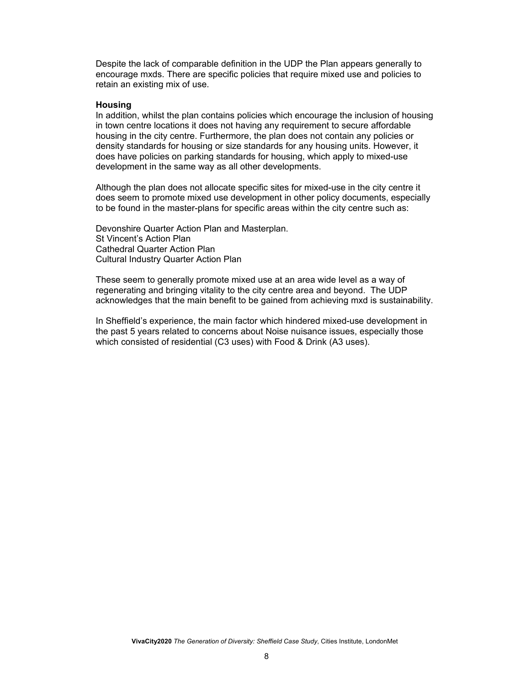Despite the lack of comparable definition in the UDP the Plan appears generally to encourage mxds. There are specific policies that require mixed use and policies to retain an existing mix of use.

#### **Housing**

In addition, whilst the plan contains policies which encourage the inclusion of housing in town centre locations it does not having any requirement to secure affordable housing in the city centre. Furthermore, the plan does not contain any policies or density standards for housing or size standards for any housing units. However, it does have policies on parking standards for housing, which apply to mixed-use development in the same way as all other developments.

Although the plan does not allocate specific sites for mixed-use in the city centre it does seem to promote mixed use development in other policy documents, especially to be found in the master-plans for specific areas within the city centre such as:

Devonshire Quarter Action Plan and Masterplan. St Vincent's Action Plan Cathedral Quarter Action Plan Cultural Industry Quarter Action Plan

These seem to generally promote mixed use at an area wide level as a way of regenerating and bringing vitality to the city centre area and beyond. The UDP acknowledges that the main benefit to be gained from achieving mxd is sustainability.

In Sheffield's experience, the main factor which hindered mixed-use development in the past 5 years related to concerns about Noise nuisance issues, especially those which consisted of residential (C3 uses) with Food & Drink (A3 uses).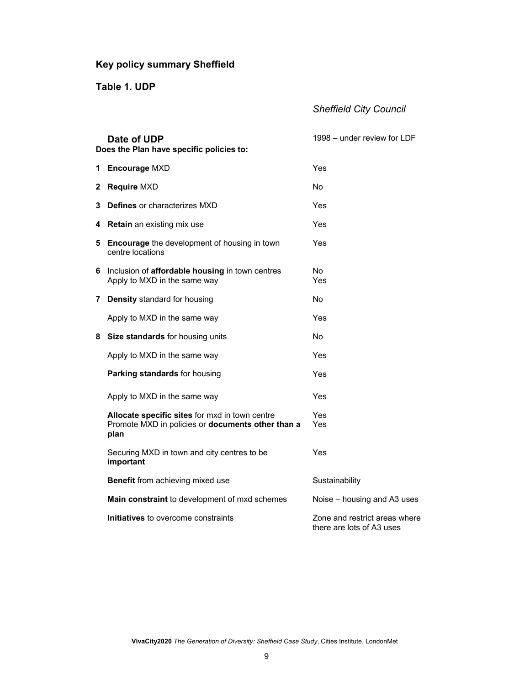## **Key policy summary Sheffield**

**Table 1. UDP**

## *Sheffield City Council*

|    | Date of UDP<br>Does the Plan have specific policies to:                                                     | 1998 – under review for LDF                                |
|----|-------------------------------------------------------------------------------------------------------------|------------------------------------------------------------|
|    | 1 Encourage MXD                                                                                             | Yes                                                        |
| 2. | <b>Require MXD</b>                                                                                          | N <sub>o</sub>                                             |
| 3  | <b>Defines or characterizes MXD</b>                                                                         | Yes                                                        |
| 4  | <b>Retain</b> an existing mix use                                                                           | Yes                                                        |
| 5. | <b>Encourage</b> the development of housing in town<br>centre locations                                     | Yes                                                        |
| 6  | Inclusion of <b>affordable housing</b> in town centres<br>Apply to MXD in the same way                      | No.<br>Yes                                                 |
|    | 7 Density standard for housing                                                                              | No                                                         |
|    | Apply to MXD in the same way                                                                                | Yes                                                        |
| 8  | Size standards for housing units                                                                            | No                                                         |
|    | Apply to MXD in the same way                                                                                | Yes                                                        |
|    | Parking standards for housing                                                                               | Yes                                                        |
|    | Apply to MXD in the same way                                                                                | Yes                                                        |
|    | Allocate specific sites for mxd in town centre<br>Promote MXD in policies or documents other than a<br>plan | Yes<br>Yes                                                 |
|    | Securing MXD in town and city centres to be<br>important                                                    | Yes                                                        |
|    | <b>Benefit</b> from achieving mixed use                                                                     | Sustainability                                             |
|    | Main constraint to development of mxd schemes                                                               | Noise – housing and A3 uses                                |
|    | Initiatives to overcome constraints                                                                         | Zone and restrict areas where<br>there are lots of A3 uses |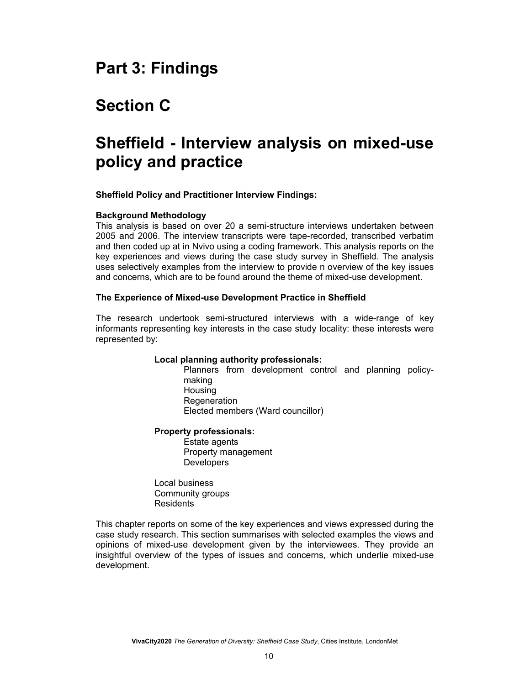## **Part 3: Findings**

# **Section C**

# **Sheffield - Interview analysis on mixed-use policy and practice**

#### **Sheffield Policy and Practitioner Interview Findings:**

#### **Background Methodology**

This analysis is based on over 20 a semi-structure interviews undertaken between 2005 and 2006. The interview transcripts were tape-recorded, transcribed verbatim and then coded up at in Nvivo using a coding framework. This analysis reports on the key experiences and views during the case study survey in Sheffield. The analysis uses selectively examples from the interview to provide n overview of the key issues and concerns, which are to be found around the theme of mixed-use development.

#### **The Experience of Mixed-use Development Practice in Sheffield**

The research undertook semi-structured interviews with a wide-range of key informants representing key interests in the case study locality: these interests were represented by:

#### **Local planning authority professionals:**

Planners from development control and planning policymaking **Housing Regeneration** Elected members (Ward councillor)

#### **Property professionals:**

Estate agents Property management Developers

Local business Community groups **Residents** 

This chapter reports on some of the key experiences and views expressed during the case study research. This section summarises with selected examples the views and opinions of mixed-use development given by the interviewees. They provide an insightful overview of the types of issues and concerns, which underlie mixed-use development.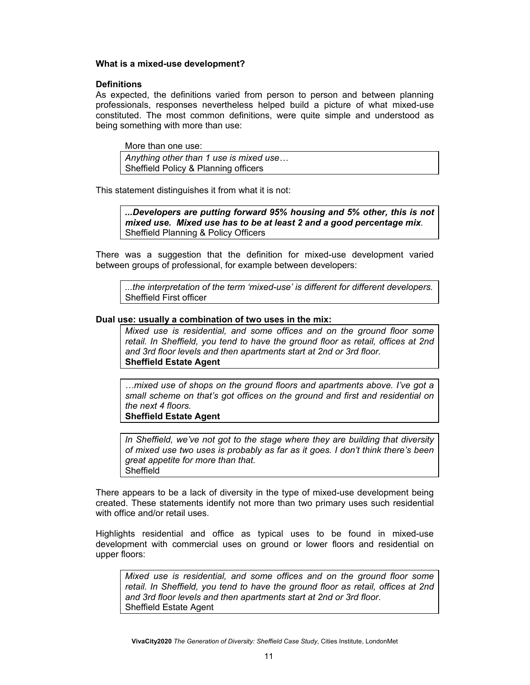#### **What is a mixed-use development?**

#### **Definitions**

As expected, the definitions varied from person to person and between planning professionals, responses nevertheless helped build a picture of what mixed-use constituted. The most common definitions, were quite simple and understood as being something with more than use:

More than one use:

*Anything other than 1 use is mixed use…*  Sheffield Policy & Planning officers

This statement distinguishes it from what it is not:

*...Developers are putting forward 95% housing and 5% other, this is not mixed use. Mixed use has to be at least 2 and a good percentage mix.*  Sheffield Planning & Policy Officers

There was a suggestion that the definition for mixed-use development varied between groups of professional, for example between developers:

*...the interpretation of the term 'mixed-use' is different for different developers.*  Sheffield First officer

#### **Dual use: usually a combination of two uses in the mix:**

*Mixed use is residential, and some offices and on the ground floor some retail. In Sheffield, you tend to have the ground floor as retail, offices at 2nd and 3rd floor levels and then apartments start at 2nd or 3rd floor.*  **Sheffield Estate Agent** 

*…mixed use of shops on the ground floors and apartments above. I've got a small scheme on that's got offices on the ground and first and residential on the next 4 floors.* 

**Sheffield Estate Agent** 

*In Sheffield, we've not got to the stage where they are building that diversity of mixed use two uses is probably as far as it goes. I don't think there's been great appetite for more than that.*  **Sheffield** 

There appears to be a lack of diversity in the type of mixed-use development being created. These statements identify not more than two primary uses such residential with office and/or retail uses.

Highlights residential and office as typical uses to be found in mixed-use development with commercial uses on ground or lower floors and residential on upper floors:

*Mixed use is residential, and some offices and on the ground floor some retail. In Sheffield, you tend to have the ground floor as retail, offices at 2nd and 3rd floor levels and then apartments start at 2nd or 3rd floor*. Sheffield Estate Agent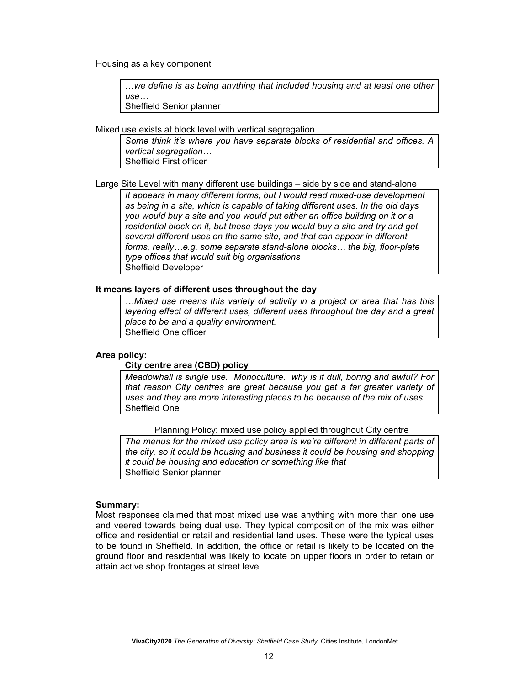Housing as a key component

…*we define is as being anything that included housing and at least one other use…*  Sheffield Senior planner

Mixed use exists at block level with vertical segregation

*Some think it's where you have separate blocks of residential and offices. A vertical segregation…*  Sheffield First officer

Large Site Level with many different use buildings – side by side and stand-alone

*It appears in many different forms, but I would read mixed-use development as being in a site, which is capable of taking different uses. In the old days you would buy a site and you would put either an office building on it or a residential block on it, but these days you would buy a site and try and get several different uses on the same site, and that can appear in different forms, really…e.g. some separate stand-alone blocks… the big, floor-plate type offices that would suit big organisations*  Sheffield Developer

#### **It means layers of different uses throughout the day**

*…Mixed use means this variety of activity in a project or area that has this layering effect of different uses, different uses throughout the day and a great place to be and a quality environment.*  Sheffield One officer

#### **Area policy:**

#### **City centre area (CBD) policy**

*Meadowhall is single use. Monoculture. why is it dull, boring and awful? For that reason City centres are great because you get a far greater variety of uses and they are more interesting places to be because of the mix of uses.* Sheffield One

Planning Policy: mixed use policy applied throughout City centre

*The menus for the mixed use policy area is we're different in different parts of the city, so it could be housing and business it could be housing and shopping it could be housing and education or something like that*  Sheffield Senior planner

#### **Summary:**

Most responses claimed that most mixed use was anything with more than one use and veered towards being dual use. They typical composition of the mix was either office and residential or retail and residential land uses. These were the typical uses to be found in Sheffield. In addition, the office or retail is likely to be located on the ground floor and residential was likely to locate on upper floors in order to retain or attain active shop frontages at street level.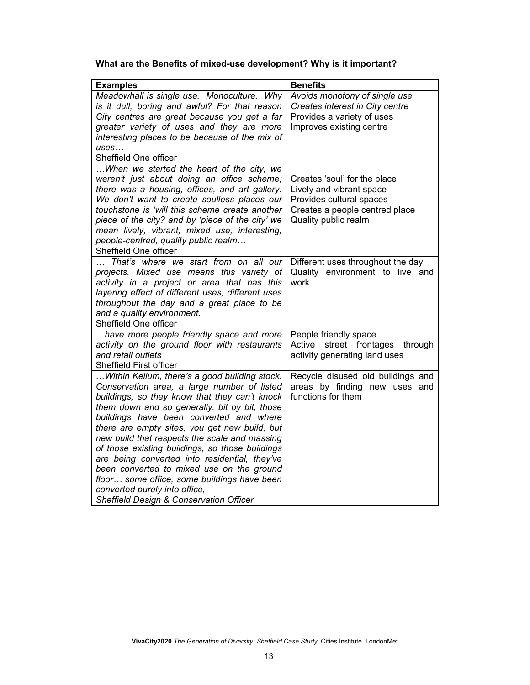## **What are the Benefits of mixed-use development? Why is it important?**

| <b>Examples</b>                                                                                                                                                                                                                                                                                                                                                                                                                                                                                                                                                                                                                    | <b>Benefits</b>                                                                                                                                |
|------------------------------------------------------------------------------------------------------------------------------------------------------------------------------------------------------------------------------------------------------------------------------------------------------------------------------------------------------------------------------------------------------------------------------------------------------------------------------------------------------------------------------------------------------------------------------------------------------------------------------------|------------------------------------------------------------------------------------------------------------------------------------------------|
| Meadowhall is single use. Monoculture. Why<br>is it dull, boring and awful? For that reason<br>City centres are great because you get a far<br>greater variety of uses and they are more<br>interesting places to be because of the mix of<br>uses<br>Sheffield One officer                                                                                                                                                                                                                                                                                                                                                        | Avoids monotony of single use<br>Creates interest in City centre<br>Provides a variety of uses<br>Improves existing centre                     |
| When we started the heart of the city, we<br>weren't just about doing an office scheme;<br>there was a housing, offices, and art gallery.<br>We don't want to create soulless places our<br>touchstone is 'will this scheme create another<br>piece of the city? and by 'piece of the city' we<br>mean lively, vibrant, mixed use, interesting,<br>people-centred, quality public realm<br>Sheffield One officer                                                                                                                                                                                                                   | Creates 'soul' for the place<br>Lively and vibrant space<br>Provides cultural spaces<br>Creates a people centred place<br>Quality public realm |
| That's where we start from on all our<br>projects. Mixed use means this variety of<br>activity in a project or area that has this<br>layering effect of different uses, different uses<br>throughout the day and a great place to be<br>and a quality environment.<br>Sheffield One officer                                                                                                                                                                                                                                                                                                                                        | Different uses throughout the day<br>Quality environment to live<br>and<br>work                                                                |
| have more people friendly space and more<br>activity on the ground floor with restaurants<br>and retail outlets<br>Sheffield First officer                                                                                                                                                                                                                                                                                                                                                                                                                                                                                         | People friendly space<br>street frontages through<br>Active<br>activity generating land uses                                                   |
| Within Kellum, there's a good building stock.<br>Conservation area, a large number of listed<br>buildings, so they know that they can't knock<br>them down and so generally, bit by bit, those<br>buildings have been converted and where<br>there are empty sites, you get new build, but<br>new build that respects the scale and massing<br>of those existing buildings, so those buildings<br>are being converted into residential, they've<br>been converted to mixed use on the ground<br>floor some office, some buildings have been<br>converted purely into office,<br><b>Sheffield Design &amp; Conservation Officer</b> | Recycle disused old buildings and<br>areas by finding new uses and<br>functions for them                                                       |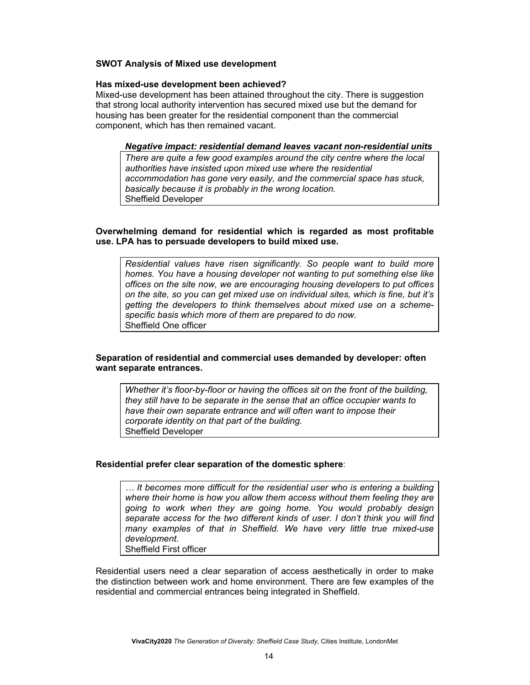#### **SWOT Analysis of Mixed use development**

#### **Has mixed-use development been achieved?**

Mixed-use development has been attained throughout the city. There is suggestion that strong local authority intervention has secured mixed use but the demand for housing has been greater for the residential component than the commercial component, which has then remained vacant.

#### *Negative impact: residential demand leaves vacant non-residential units*

*There are quite a few good examples around the city centre where the local authorities have insisted upon mixed use where the residential accommodation has gone very easily, and the commercial space has stuck, basically because it is probably in the wrong location.*  Sheffield Developer

#### **Overwhelming demand for residential which is regarded as most profitable use. LPA has to persuade developers to build mixed use.**

*Residential values have risen significantly. So people want to build more homes. You have a housing developer not wanting to put something else like offices on the site now, we are encouraging housing developers to put offices on the site, so you can get mixed use on individual sites, which is fine, but it's getting the developers to think themselves about mixed use on a schemespecific basis which more of them are prepared to do now.*  Sheffield One officer

#### **Separation of residential and commercial uses demanded by developer: often want separate entrances.**

*Whether it's floor-by-floor or having the offices sit on the front of the building, they still have to be separate in the sense that an office occupier wants to have their own separate entrance and will often want to impose their corporate identity on that part of the building.*  Sheffield Developer

#### **Residential prefer clear separation of the domestic sphere**:

*… It becomes more difficult for the residential user who is entering a building where their home is how you allow them access without them feeling they are going to work when they are going home. You would probably design separate access for the two different kinds of user. I don't think you will find many examples of that in Sheffield. We have very little true mixed-use development.*  Sheffield First officer

Residential users need a clear separation of access aesthetically in order to make the distinction between work and home environment. There are few examples of the residential and commercial entrances being integrated in Sheffield.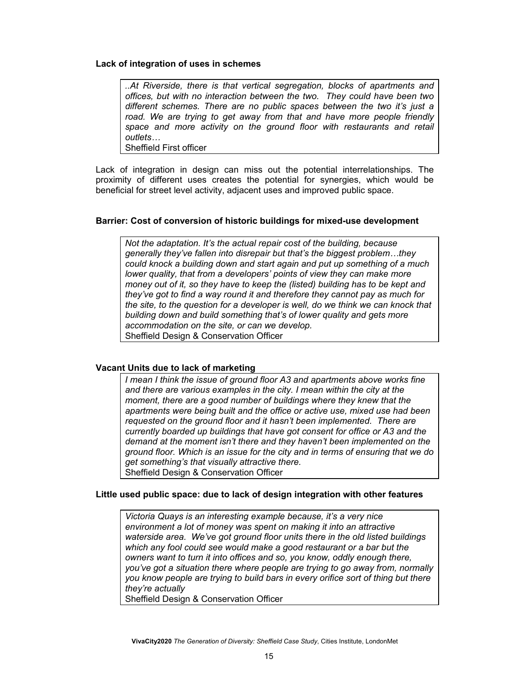#### **Lack of integration of uses in schemes**

*..At Riverside, there is that vertical segregation, blocks of apartments and offices, but with no interaction between the two. They could have been two different schemes. There are no public spaces between the two it's just a*  road. We are trying to get away from that and have more people friendly *space and more activity on the ground floor with restaurants and retail outlets…* 

Sheffield First officer

Lack of integration in design can miss out the potential interrelationships. The proximity of different uses creates the potential for synergies, which would be beneficial for street level activity, adjacent uses and improved public space.

#### **Barrier: Cost of conversion of historic buildings for mixed-use development**

*Not the adaptation. It's the actual repair cost of the building, because generally they've fallen into disrepair but that's the biggest problem…they could knock a building down and start again and put up something of a much lower quality, that from a developers' points of view they can make more money out of it, so they have to keep the (listed) building has to be kept and they've got to find a way round it and therefore they cannot pay as much for the site, to the question for a developer is well, do we think we can knock that building down and build something that's of lower quality and gets more accommodation on the site, or can we develop.*  Sheffield Design & Conservation Officer

#### **Vacant Units due to lack of marketing**

*I mean I think the issue of ground floor A3 and apartments above works fine and there are various examples in the city. I mean within the city at the moment, there are a good number of buildings where they knew that the apartments were being built and the office or active use, mixed use had been requested on the ground floor and it hasn't been implemented. There are currently boarded up buildings that have got consent for office or A3 and the demand at the moment isn't there and they haven't been implemented on the ground floor. Which is an issue for the city and in terms of ensuring that we do get something's that visually attractive there.*  Sheffield Design & Conservation Officer

#### **Little used public space: due to lack of design integration with other features**

*Victoria Quays is an interesting example because, it's a very nice environment a lot of money was spent on making it into an attractive waterside area. We've got ground floor units there in the old listed buildings which any fool could see would make a good restaurant or a bar but the owners want to turn it into offices and so, you know, oddly enough there, you've got a situation there where people are trying to go away from, normally you know people are trying to build bars in every orifice sort of thing but there they're actually* 

Sheffield Design & Conservation Officer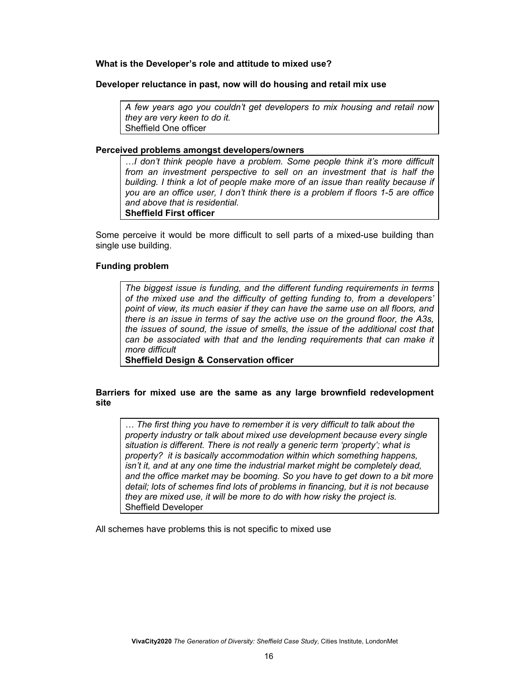#### **What is the Developer's role and attitude to mixed use?**

#### **Developer reluctance in past, now will do housing and retail mix use**

*A few years ago you couldn't get developers to mix housing and retail now they are very keen to do it.* Sheffield One officer

#### **Perceived problems amongst developers/owners**

*…I don't think people have a problem. Some people think it's more difficult from an investment perspective to sell on an investment that is half the building. I think a lot of people make more of an issue than reality because if you are an office user, I don't think there is a problem if floors 1-5 are office and above that is residential.*  **Sheffield First officer** 

Some perceive it would be more difficult to sell parts of a mixed-use building than single use building.

#### **Funding problem**

*The biggest issue is funding, and the different funding requirements in terms of the mixed use and the difficulty of getting funding to, from a developers' point of view, its much easier if they can have the same use on all floors, and there is an issue in terms of say the active use on the ground floor, the A3s, the issues of sound, the issue of smells, the issue of the additional cost that can be associated with that and the lending requirements that can make it more difficult* 

**Sheffield Design & Conservation officer** 

#### **Barriers for mixed use are the same as any large brownfield redevelopment site**

*… The first thing you have to remember it is very difficult to talk about the property industry or talk about mixed use development because every single situation is different. There is not really a generic term 'property'; what is property? it is basically accommodation within which something happens, isn't it, and at any one time the industrial market might be completely dead, and the office market may be booming. So you have to get down to a bit more detail; lots of schemes find lots of problems in financing, but it is not because they are mixed use, it will be more to do with how risky the project is.*  Sheffield Developer

All schemes have problems this is not specific to mixed use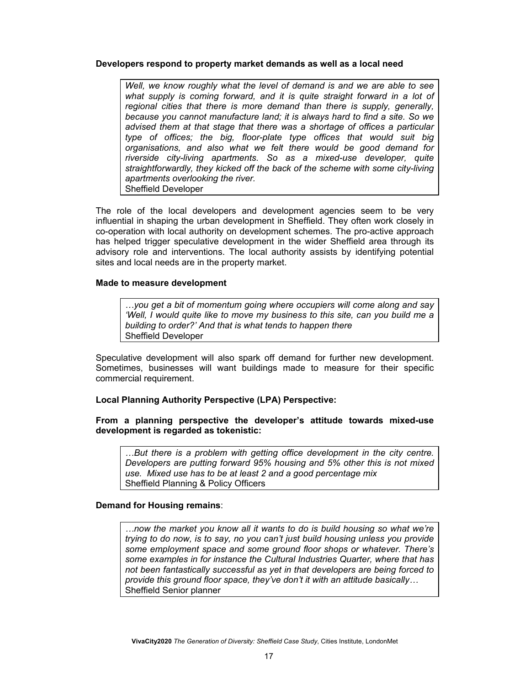#### **Developers respond to property market demands as well as a local need**

*Well, we know roughly what the level of demand is and we are able to see*  what supply is coming forward, and it is quite straight forward in a lot of *regional cities that there is more demand than there is supply, generally, because you cannot manufacture land; it is always hard to find a site. So we advised them at that stage that there was a shortage of offices a particular type of offices; the big, floor-plate type offices that would suit big organisations, and also what we felt there would be good demand for riverside city-living apartments. So as a mixed-use developer, quite straightforwardly, they kicked off the back of the scheme with some city-living apartments overlooking the river.*  Sheffield Developer

The role of the local developers and development agencies seem to be very influential in shaping the urban development in Sheffield. They often work closely in co-operation with local authority on development schemes. The pro-active approach has helped trigger speculative development in the wider Sheffield area through its advisory role and interventions. The local authority assists by identifying potential sites and local needs are in the property market.

#### **Made to measure development**

*…you get a bit of momentum going where occupiers will come along and say 'Well, I would quite like to move my business to this site, can you build me a building to order?' And that is what tends to happen there*  Sheffield Developer

Speculative development will also spark off demand for further new development. Sometimes, businesses will want buildings made to measure for their specific commercial requirement.

#### **Local Planning Authority Perspective (LPA) Perspective:**

#### **From a planning perspective the developer's attitude towards mixed-use development is regarded as tokenistic:**

*…But there is a problem with getting office development in the city centre. Developers are putting forward 95% housing and 5% other this is not mixed use. Mixed use has to be at least 2 and a good percentage mix*  Sheffield Planning & Policy Officers

#### **Demand for Housing remains**:

*…now the market you know all it wants to do is build housing so what we're trying to do now, is to say, no you can't just build housing unless you provide some employment space and some ground floor shops or whatever. There's some examples in for instance the Cultural Industries Quarter, where that has not been fantastically successful as yet in that developers are being forced to provide this ground floor space, they've don't it with an attitude basically…*  Sheffield Senior planner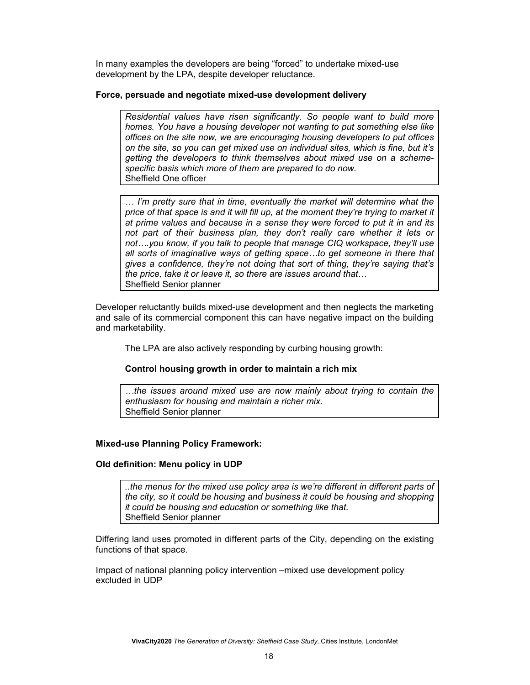In many examples the developers are being "forced" to undertake mixed-use development by the LPA, despite developer reluctance.

#### **Force, persuade and negotiate mixed-use development delivery**

*Residential values have risen significantly. So people want to build more homes. You have a housing developer not wanting to put something else like offices on the site now, we are encouraging housing developers to put offices on the site, so you can get mixed use on individual sites, which is fine, but it's getting the developers to think themselves about mixed use on a schemespecific basis which more of them are prepared to do now.*  Sheffield One officer

*… I'm pretty sure that in time, eventually the market will determine what the price of that space is and it will fill up, at the moment they're trying to market it at prime values and because in a sense they were forced to put it in and its not part of their business plan, they don't really care whether it lets or not….you know, if you talk to people that manage CIQ workspace, they'll use all sorts of imaginative ways of getting space…to get someone in there that gives a confidence, they're not doing that sort of thing, they're saying that's the price, take it or leave it, so there are issues around that*… Sheffield Senior planner

Developer reluctantly builds mixed-use development and then neglects the marketing and sale of its commercial component this can have negative impact on the building and marketability.

The LPA are also actively responding by curbing housing growth:

#### **Control housing growth in order to maintain a rich mix**

*…the issues around mixed use are now mainly about trying to contain the enthusiasm for housing and maintain a richer mix.*  Sheffield Senior planner

#### **Mixed-use Planning Policy Framework:**

#### **Old definition: Menu policy in UDP**

*..the menus for the mixed use policy area is we're different in different parts of the city, so it could be housing and business it could be housing and shopping it could be housing and education or something like that.*  Sheffield Senior planner

Differing land uses promoted in different parts of the City, depending on the existing functions of that space.

Impact of national planning policy intervention –mixed use development policy excluded in UDP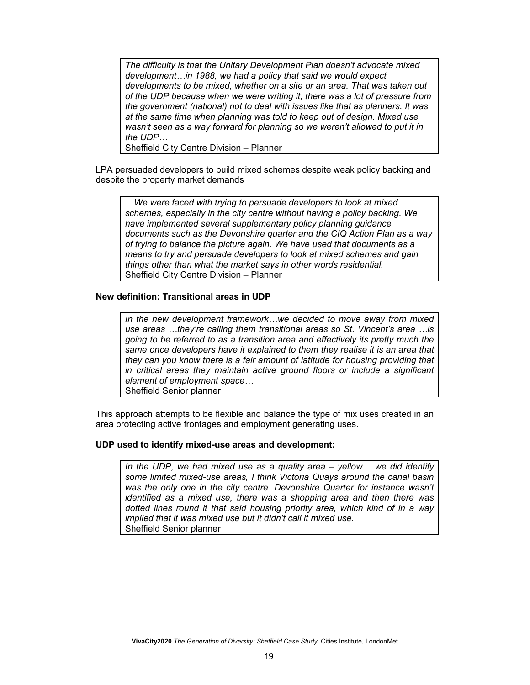*The difficulty is that the Unitary Development Plan doesn't advocate mixed development…in 1988, we had a policy that said we would expect developments to be mixed, whether on a site or an area. That was taken out of the UDP because when we were writing it, there was a lot of pressure from the government (national) not to deal with issues like that as planners. It was at the same time when planning was told to keep out of design. Mixed use wasn't seen as a way forward for planning so we weren't allowed to put it in the UDP…* 

Sheffield City Centre Division – Planner

LPA persuaded developers to build mixed schemes despite weak policy backing and despite the property market demands

*…We were faced with trying to persuade developers to look at mixed schemes, especially in the city centre without having a policy backing. We have implemented several supplementary policy planning guidance documents such as the Devonshire quarter and the CIQ Action Plan as a way of trying to balance the picture again. We have used that documents as a means to try and persuade developers to look at mixed schemes and gain things other than what the market says in other words residential.*  Sheffield City Centre Division – Planner

#### **New definition: Transitional areas in UDP**

*In the new development framework…we decided to move away from mixed use areas …they're calling them transitional areas so St. Vincent's area …is going to be referred to as a transition area and effectively its pretty much the same once developers have it explained to them they realise it is an area that they can you know there is a fair amount of latitude for housing providing that in critical areas they maintain active ground floors or include a significant element of employment space…*  Sheffield Senior planner

This approach attempts to be flexible and balance the type of mix uses created in an area protecting active frontages and employment generating uses.

#### **UDP used to identify mixed-use areas and development:**

In the UDP, we had mixed use as a quality area – yellow... we did identify *some limited mixed-use areas, I think Victoria Quays around the canal basin was the only one in the city centre. Devonshire Quarter for instance wasn't identified as a mixed use, there was a shopping area and then there was dotted lines round it that said housing priority area, which kind of in a way implied that it was mixed use but it didn't call it mixed use.*  Sheffield Senior planner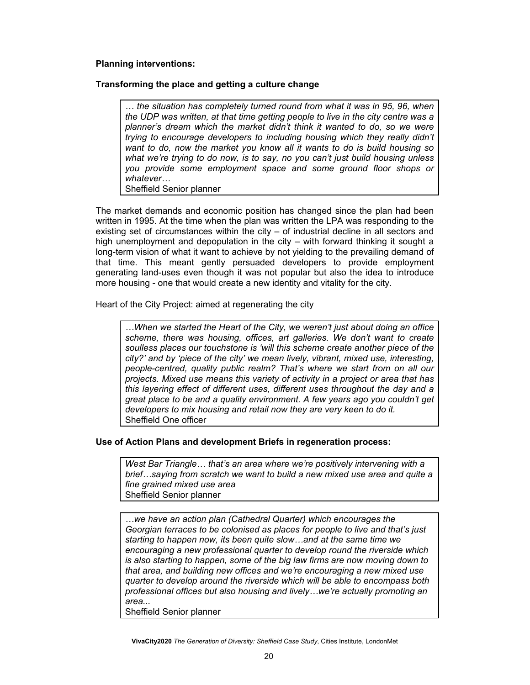#### **Planning interventions:**

#### **Transforming the place and getting a culture change**

*… the situation has completely turned round from what it was in 95, 96, when the UDP was written, at that time getting people to live in the city centre was a planner's dream which the market didn't think it wanted to do, so we were trying to encourage developers to including housing which they really didn't want to do, now the market you know all it wants to do is build housing so what we're trying to do now, is to say, no you can't just build housing unless you provide some employment space and some ground floor shops or whatever…* 

Sheffield Senior planner

The market demands and economic position has changed since the plan had been written in 1995. At the time when the plan was written the LPA was responding to the existing set of circumstances within the city – of industrial decline in all sectors and high unemployment and depopulation in the city – with forward thinking it sought a long-term vision of what it want to achieve by not yielding to the prevailing demand of that time. This meant gently persuaded developers to provide employment generating land-uses even though it was not popular but also the idea to introduce more housing - one that would create a new identity and vitality for the city.

Heart of the City Project: aimed at regenerating the city

*…When we started the Heart of the City, we weren't just about doing an office scheme, there was housing, offices, art galleries. We don't want to create soulless places our touchstone is 'will this scheme create another piece of the city?' and by 'piece of the city' we mean lively, vibrant, mixed use, interesting, people-centred, quality public realm? That's where we start from on all our projects. Mixed use means this variety of activity in a project or area that has this layering effect of different uses, different uses throughout the day and a great place to be and a quality environment. A few years ago you couldn't get developers to mix housing and retail now they are very keen to do it.*  Sheffield One officer

#### **Use of Action Plans and development Briefs in regeneration process:**

*West Bar Triangle… that's an area where we're positively intervening with a brief…saying from scratch we want to build a new mixed use area and quite a fine grained mixed use area*  Sheffield Senior planner

*…we have an action plan (Cathedral Quarter) which encourages the Georgian terraces to be colonised as places for people to live and that's just starting to happen now, its been quite slow…and at the same time we encouraging a new professional quarter to develop round the riverside which is also starting to happen, some of the big law firms are now moving down to that area, and building new offices and we're encouraging a new mixed use quarter to develop around the riverside which will be able to encompass both professional offices but also housing and lively…we're actually promoting an area...* 

Sheffield Senior planner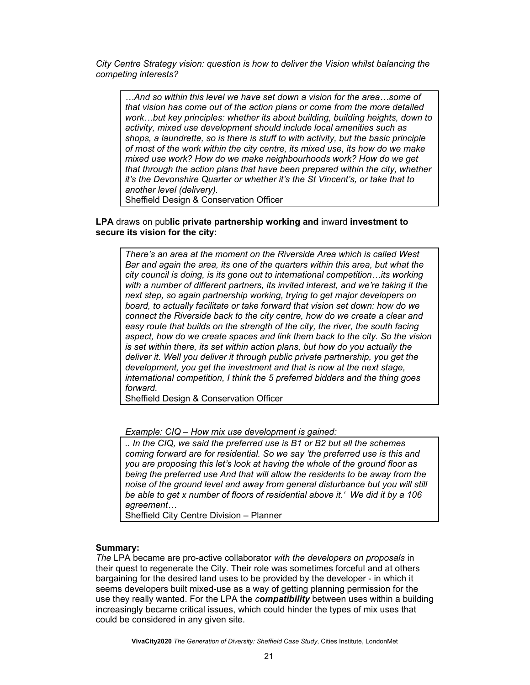*City Centre Strategy vision: question is how to deliver the Vision whilst balancing the competing interests?* 

*…And so within this level we have set down a vision for the area…some of that vision has come out of the action plans or come from the more detailed work…but key principles: whether its about building, building heights, down to activity, mixed use development should include local amenities such as shops, a laundrette, so is there is stuff to with activity, but the basic principle of most of the work within the city centre, its mixed use, its how do we make mixed use work? How do we make neighbourhoods work? How do we get that through the action plans that have been prepared within the city, whether it's the Devonshire Quarter or whether it's the St Vincent's, or take that to another level (delivery).* 

Sheffield Design & Conservation Officer

#### **LPA** draws on pub**lic private partnership working and** inward **investment to secure its vision for the city:**

*There's an area at the moment on the Riverside Area which is called West Bar and again the area, its one of the quarters within this area, but what the city council is doing, is its gone out to international competition…its working with a number of different partners, its invited interest, and we're taking it the next step, so again partnership working, trying to get major developers on board, to actually facilitate or take forward that vision set down: how do we connect the Riverside back to the city centre, how do we create a clear and easy route that builds on the strength of the city, the river, the south facing aspect, how do we create spaces and link them back to the city. So the vision is set within there, its set within action plans, but how do you actually the deliver it. Well you deliver it through public private partnership, you get the development, you get the investment and that is now at the next stage, international competition, I think the 5 preferred bidders and the thing goes forward.* 

Sheffield Design & Conservation Officer

*Example: CIQ – How mix use development is gained:* 

*.. In the CIQ, we said the preferred use is B1 or B2 but all the schemes coming forward are for residential. So we say 'the preferred use is this and you are proposing this let's look at having the whole of the ground floor as being the preferred use And that will allow the residents to be away from the noise of the ground level and away from general disturbance but you will still be able to get x number of floors of residential above it.' We did it by a 106 agreement…* 

Sheffield City Centre Division – Planner

#### **Summary:**

*The* LPA became are pro-active collaborator *with the developers on proposals* in their quest to regenerate the City*.* Their role was sometimes forceful and at others bargaining for the desired land uses to be provided by the developer - in which it seems developers built mixed-use as a way of getting planning permission for the use they really wanted. For the LPA the *compatibility* between uses within a building increasingly became critical issues, which could hinder the types of mix uses that could be considered in any given site.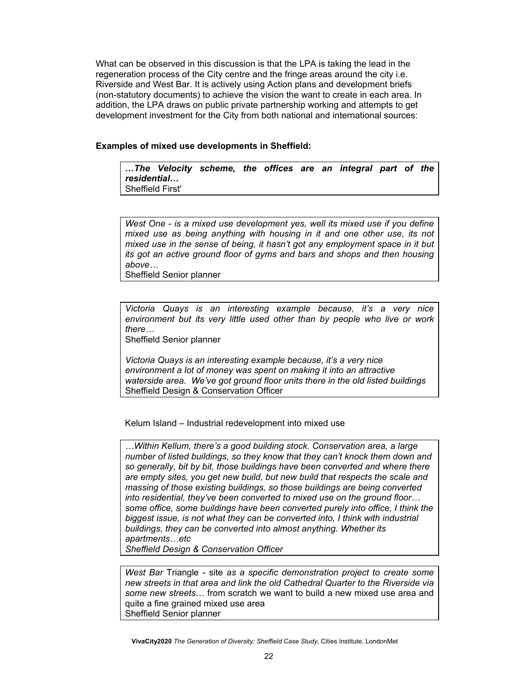What can be observed in this discussion is that the LPA is taking the lead in the regeneration process of the City centre and the fringe areas around the city i.e. Riverside and West Bar. It is actively using Action plans and development briefs (non-statutory documents) to achieve the vision the want to create in each area. In addition, the LPA draws on public private partnership working and attempts to get development investment for the City from both national and international sources:

#### **Examples of mixed use developments in Sheffield:**

*…The Velocity scheme, the offices are an integral part of the residential…*  Sheffield First'

*West One - is a mixed use development yes, well its mixed use if you define mixed use as being anything with housing in it and one other use, its not mixed use in the sense of being, it hasn't got any employment space in it but its got an active ground floor of gyms and bars and shops and then housing above…* 

Sheffield Senior planner

*Victoria Quays is an interesting example because, it's a very nice environment but its very little used other than by people who live or work there…* 

Sheffield Senior planner

*Victoria Quays is an interesting example because, it's a very nice environment a lot of money was spent on making it into an attractive waterside area. We've got ground floor units there in the old listed buildings*  Sheffield Design & Conservation Officer

Kelum Island – Industrial redevelopment into mixed use

*…Within Kellum, there's a good building stock. Conservation area, a large number of listed buildings, so they know that they can't knock them down and so generally, bit by bit, those buildings have been converted and where there are empty sites, you get new build, but new build that respects the scale and massing of those existing buildings, so those buildings are being converted into residential, they've been converted to mixed use on the ground floor… some office, some buildings have been converted purely into office, I think the biggest issue, is not what they can be converted into, I think with industrial buildings, they can be converted into almost anything. Whether its apartments…etc* 

*Sheffield Design & Conservation Officer* 

*West Bar* Triangle - site *as a specific demonstration project to create some new streets in that area and link the old Cathedral Quarter to the Riverside via some new streets*… from scratch we want to build a new mixed use area and quite a fine grained mixed use area Sheffield Senior planner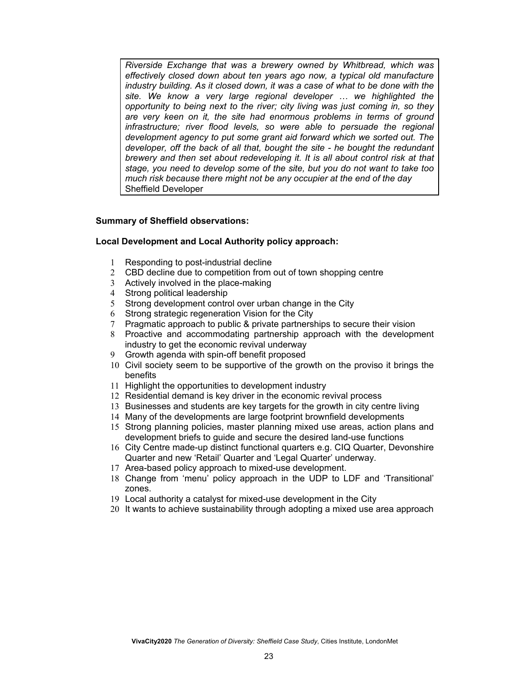*Riverside Exchange that was a brewery owned by Whitbread, which was effectively closed down about ten years ago now, a typical old manufacture industry building. As it closed down, it was a case of what to be done with the site. We know a very large regional developer … we highlighted the opportunity to being next to the river; city living was just coming in, so they are very keen on it, the site had enormous problems in terms of ground infrastructure; river flood levels, so were able to persuade the regional development agency to put some grant aid forward which we sorted out. The developer, off the back of all that, bought the site - he bought the redundant brewery and then set about redeveloping it. It is all about control risk at that stage, you need to develop some of the site, but you do not want to take too much risk because there might not be any occupier at the end of the day*  Sheffield Developer

#### **Summary of Sheffield observations:**

#### **Local Development and Local Authority policy approach:**

- 1 Responding to post-industrial decline
- 2 CBD decline due to competition from out of town shopping centre
- 3 Actively involved in the place-making
- 4 Strong political leadership
- 5 Strong development control over urban change in the City
- 6 Strong strategic regeneration Vision for the City
- 7 Pragmatic approach to public & private partnerships to secure their vision
- 8 Proactive and accommodating partnership approach with the development industry to get the economic revival underway
- 9 Growth agenda with spin-off benefit proposed
- 10 Civil society seem to be supportive of the growth on the proviso it brings the benefits
- 11 Highlight the opportunities to development industry
- 12 Residential demand is key driver in the economic revival process
- 13 Businesses and students are key targets for the growth in city centre living
- 14 Many of the developments are large footprint brownfield developments
- 15 Strong planning policies, master planning mixed use areas, action plans and development briefs to guide and secure the desired land-use functions
- 16 City Centre made-up distinct functional quarters e.g. CIQ Quarter, Devonshire Quarter and new 'Retail' Quarter and 'Legal Quarter' underway.
- 17 Area-based policy approach to mixed-use development.
- 18 Change from 'menu' policy approach in the UDP to LDF and 'Transitional' zones.
- 19 Local authority a catalyst for mixed-use development in the City
- 20 It wants to achieve sustainability through adopting a mixed use area approach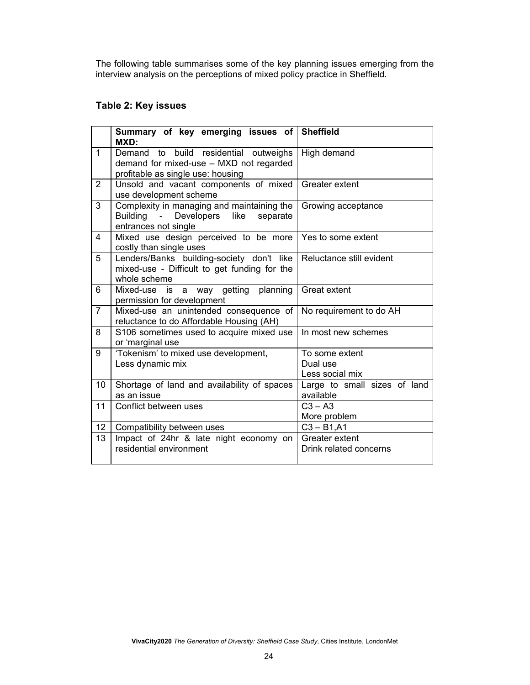The following table summarises some of the key planning issues emerging from the interview analysis on the perceptions of mixed policy practice in Sheffield.

## **Table 2: Key issues**

|                 | Summary of key emerging issues of Sheffield<br>MXD:                                                       |                                           |
|-----------------|-----------------------------------------------------------------------------------------------------------|-------------------------------------------|
| $\mathbf{1}$    | Demand to build residential outweighs                                                                     | High demand                               |
|                 | demand for mixed-use - MXD not regarded                                                                   |                                           |
|                 | profitable as single use: housing                                                                         |                                           |
| $\overline{2}$  | Unsold and vacant components of mixed<br>use development scheme                                           | Greater extent                            |
| 3               | Complexity in managing and maintaining the<br>Developers like<br>Building -<br>separate                   | Growing acceptance                        |
|                 | entrances not single                                                                                      |                                           |
| 4               | Mixed use design perceived to be more<br>costly than single uses                                          | Yes to some extent                        |
| 5               | Lenders/Banks building-society don't like<br>mixed-use - Difficult to get funding for the<br>whole scheme | Reluctance still evident                  |
| 6               | Mixed-use<br>is a way getting<br>planning<br>permission for development                                   | Great extent                              |
| $\overline{7}$  | Mixed-use an unintended consequence of<br>reluctance to do Affordable Housing (AH)                        | No requirement to do AH                   |
| 8               | S106 sometimes used to acquire mixed use<br>or 'marginal use                                              | In most new schemes                       |
| 9               | 'Tokenism' to mixed use development,<br>Less dynamic mix                                                  | To some extent<br>Dual use                |
|                 |                                                                                                           | Less social mix                           |
| 10              | Shortage of land and availability of spaces<br>as an issue                                                | Large to small sizes of land<br>available |
| 11              | Conflict between uses                                                                                     | $C3 - A3$                                 |
|                 |                                                                                                           | More problem                              |
| 12 <sup>°</sup> | Compatibility between uses                                                                                | $C3 - B1, A1$                             |
| 13              | Impact of 24hr & late night economy on                                                                    | Greater extent                            |
|                 | residential environment                                                                                   | Drink related concerns                    |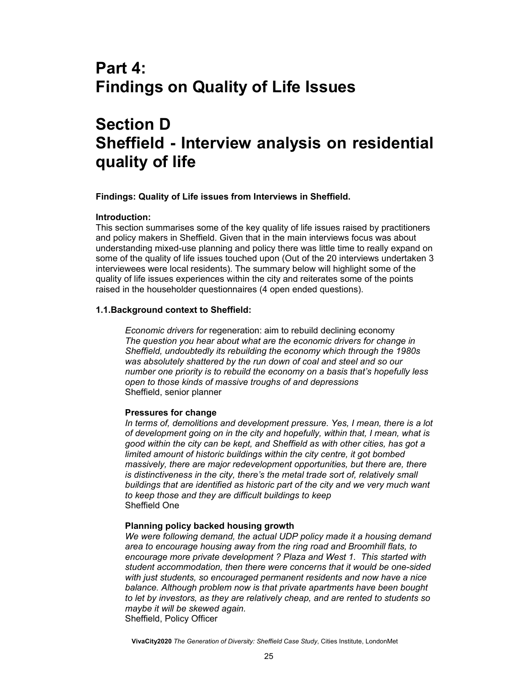# **Part 4: Findings on Quality of Life Issues**

# **Section D Sheffield - Interview analysis on residential quality of life**

**Findings: Quality of Life issues from Interviews in Sheffield.** 

#### **Introduction:**

This section summarises some of the key quality of life issues raised by practitioners and policy makers in Sheffield. Given that in the main interviews focus was about understanding mixed-use planning and policy there was little time to really expand on some of the quality of life issues touched upon (Out of the 20 interviews undertaken 3 interviewees were local residents). The summary below will highlight some of the quality of life issues experiences within the city and reiterates some of the points raised in the householder questionnaires (4 open ended questions).

#### **1.1.Background context to Sheffield:**

*Economic drivers for* regeneration: aim to rebuild declining economy *The question you hear about what are the economic drivers for change in Sheffield, undoubtedly its rebuilding the economy which through the 1980s was absolutely shattered by the run down of coal and steel and so our number one priority is to rebuild the economy on a basis that's hopefully less open to those kinds of massive troughs of and depressions*  Sheffield, senior planner

#### **Pressures for change**

*In terms of, demolitions and development pressure. Yes, I mean, there is a lot of development going on in the city and hopefully, within that, I mean, what is good within the city can be kept, and Sheffield as with other cities, has got a limited amount of historic buildings within the city centre, it got bombed massively, there are major redevelopment opportunities, but there are, there is distinctiveness in the city, there's the metal trade sort of, relatively small buildings that are identified as historic part of the city and we very much want to keep those and they are difficult buildings to keep*  Sheffield One

#### **Planning policy backed housing growth**

*We were following demand, the actual UDP policy made it a housing demand area to encourage housing away from the ring road and Broomhill flats, to encourage more private development ? Plaza and West 1. This started with student accommodation, then there were concerns that it would be one-sided with just students, so encouraged permanent residents and now have a nice balance. Although problem now is that private apartments have been bought to let by investors, as they are relatively cheap, and are rented to students so maybe it will be skewed again.*  Sheffield, Policy Officer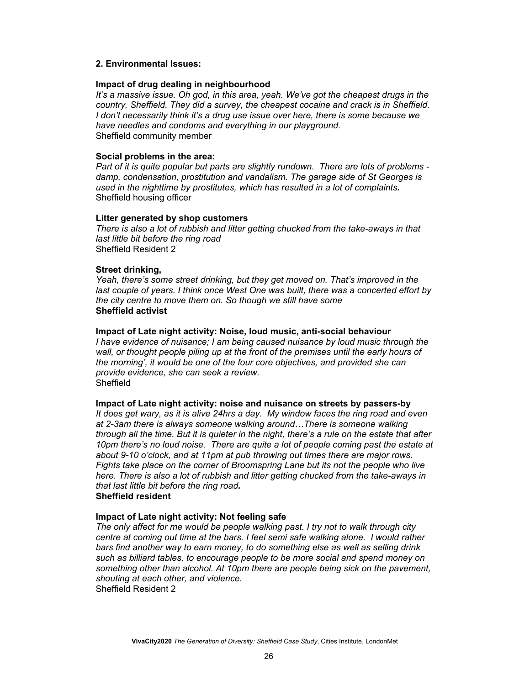#### **2. Environmental Issues:**

#### **Impact of drug dealing in neighbourhood**

*It's a massive issue. Oh god, in this area, yeah. We've got the cheapest drugs in the country, Sheffield. They did a survey, the cheapest cocaine and crack is in Sheffield. I don't necessarily think it's a drug use issue over here, there is some because we have needles and condoms and everything in our playground.*  Sheffield community member

#### **Social problems in the area:**

*Part of it is quite popular but parts are slightly rundown. There are lots of problems damp, condensation, prostitution and vandalism. The garage side of St Georges is used in the nighttime by prostitutes, which has resulted in a lot of complaints.*  Sheffield housing officer

#### **Litter generated by shop customers**

*There is also a lot of rubbish and litter getting chucked from the take-aways in that last little bit before the ring road*  Sheffield Resident 2

#### **Street drinking,**

*Yeah, there's some street drinking, but they get moved on. That's improved in the*  last couple of years. I think once West One was built, there was a concerted effort by *the city centre to move them on. So though we still have some*  **Sheffield activist**

#### **Impact of Late night activity: Noise, loud music, anti-social behaviour**

*I have evidence of nuisance; I am being caused nuisance by loud music through the wall, or thought people piling up at the front of the premises until the early hours of the morning', it would be one of the four core objectives, and provided she can provide evidence, she can seek a review.*  **Sheffield** 

#### **Impact of Late night activity: noise and nuisance on streets by passers-by**

*It does get wary, as it is alive 24hrs a day. My window faces the ring road and even at 2-3am there is always someone walking around…There is someone walking through all the time. But it is quieter in the night, there's a rule on the estate that after 10pm there's no loud noise. There are quite a lot of people coming past the estate at about 9-10 o'clock, and at 11pm at pub throwing out times there are major rows. Fights take place on the corner of Broomspring Lane but its not the people who live here. There is also a lot of rubbish and litter getting chucked from the take-aways in that last little bit before the ring road.* 

#### **Sheffield resident**

#### **Impact of Late night activity: Not feeling safe**

*The only affect for me would be people walking past. I try not to walk through city centre at coming out time at the bars. I feel semi safe walking alone. I would rather bars find another way to earn money, to do something else as well as selling drink such as billiard tables, to encourage people to be more social and spend money on something other than alcohol. At 10pm there are people being sick on the pavement, shouting at each other, and violence.*  Sheffield Resident 2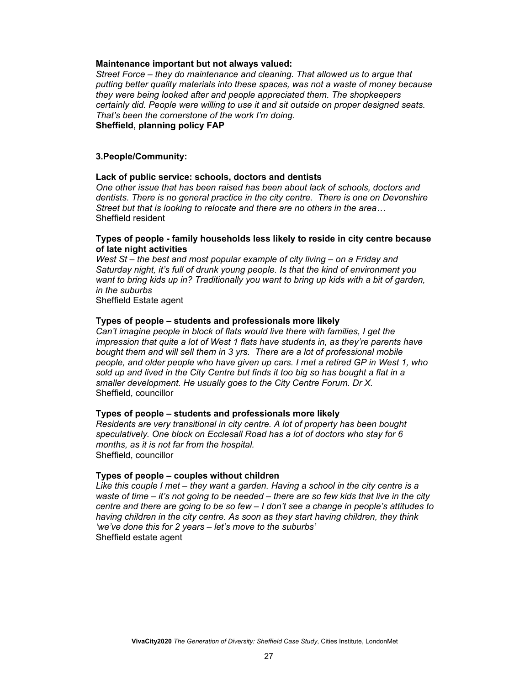#### **Maintenance important but not always valued:**

*Street Force – they do maintenance and cleaning. That allowed us to argue that putting better quality materials into these spaces, was not a waste of money because they were being looked after and people appreciated them. The shopkeepers certainly did. People were willing to use it and sit outside on proper designed seats. That's been the cornerstone of the work I'm doing.*  **Sheffield, planning policy FAP**

#### **3.People/Community:**

#### **Lack of public service: schools, doctors and dentists**

*One other issue that has been raised has been about lack of schools, doctors and dentists. There is no general practice in the city centre. There is one on Devonshire Street but that is looking to relocate and there are no others in the area…* Sheffield resident

#### **Types of people - family households less likely to reside in city centre because of late night activities**

*West St – the best and most popular example of city living – on a Friday and Saturday night, it's full of drunk young people. Is that the kind of environment you want to bring kids up in? Traditionally you want to bring up kids with a bit of garden, in the suburbs* 

Sheffield Estate agent

#### **Types of people – students and professionals more likely**

*Can't imagine people in block of flats would live there with families, I get the impression that quite a lot of West 1 flats have students in, as they're parents have bought them and will sell them in 3 yrs. There are a lot of professional mobile people, and older people who have given up cars. I met a retired GP in West 1, who*  sold up and lived in the City Centre but finds it too big so has bought a flat in a *smaller development. He usually goes to the City Centre Forum. Dr X.*  Sheffield, councillor

#### **Types of people – students and professionals more likely**

*Residents are very transitional in city centre. A lot of property has been bought speculatively. One block on Ecclesall Road has a lot of doctors who stay for 6 months, as it is not far from the hospital.*  Sheffield, councillor

#### **Types of people – couples without children**

Like this couple I met – they want a garden. Having a school in the city centre is a *waste of time – it's not going to be needed – there are so few kids that live in the city centre and there are going to be so few – I don't see a change in people's attitudes to having children in the city centre. As soon as they start having children, they think 'we've done this for 2 years – let's move to the suburbs'*  Sheffield estate agent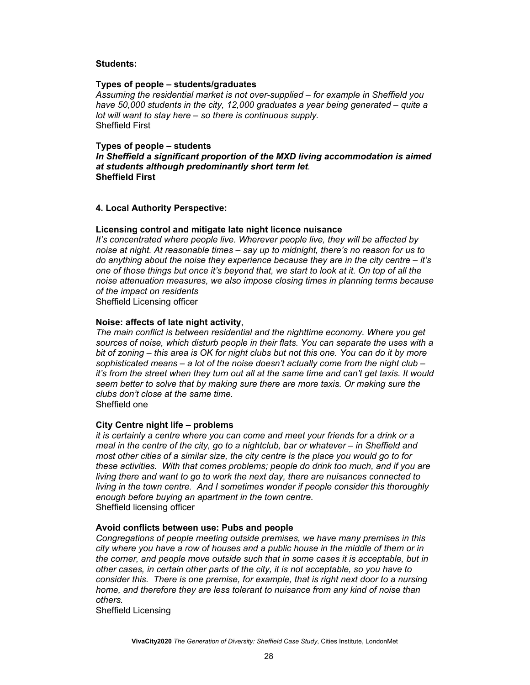#### **Students:**

#### **Types of people – students/graduates**

*Assuming the residential market is not over-supplied – for example in Sheffield you have 50,000 students in the city, 12,000 graduates a year being generated – quite a lot will want to stay here – so there is continuous supply.*  Sheffield First

#### **Types of people – students**

*In Sheffield a significant proportion of the MXD living accommodation is aimed at students although predominantly short term let.*  **Sheffield First** 

#### **4. Local Authority Perspective:**

#### **Licensing control and mitigate late night licence nuisance**

*It's concentrated where people live. Wherever people live, they will be affected by noise at night. At reasonable times – say up to midnight, there's no reason for us to do anything about the noise they experience because they are in the city centre – it's one of those things but once it's beyond that, we start to look at it. On top of all the noise attenuation measures, we also impose closing times in planning terms because of the impact on residents* 

Sheffield Licensing officer

#### **Noise: affects of late night activity**,

*The main conflict is between residential and the nighttime economy. Where you get sources of noise, which disturb people in their flats. You can separate the uses with a bit of zoning – this area is OK for night clubs but not this one. You can do it by more sophisticated means – a lot of the noise doesn't actually come from the night club – it's from the street when they turn out all at the same time and can't get taxis. It would seem better to solve that by making sure there are more taxis. Or making sure the clubs don't close at the same time.*  Sheffield one

#### **City Centre night life – problems**

*it is certainly a centre where you can come and meet your friends for a drink or a meal in the centre of the city, go to a nightclub, bar or whatever – in Sheffield and most other cities of a similar size, the city centre is the place you would go to for these activities. With that comes problems; people do drink too much, and if you are living there and want to go to work the next day, there are nuisances connected to living in the town centre. And I sometimes wonder if people consider this thoroughly enough before buying an apartment in the town centre.*  Sheffield licensing officer

#### **Avoid conflicts between use: Pubs and people**

*Congregations of people meeting outside premises, we have many premises in this city where you have a row of houses and a public house in the middle of them or in the corner, and people move outside such that in some cases it is acceptable, but in other cases, in certain other parts of the city, it is not acceptable, so you have to consider this. There is one premise, for example, that is right next door to a nursing home, and therefore they are less tolerant to nuisance from any kind of noise than others.* 

Sheffield Licensing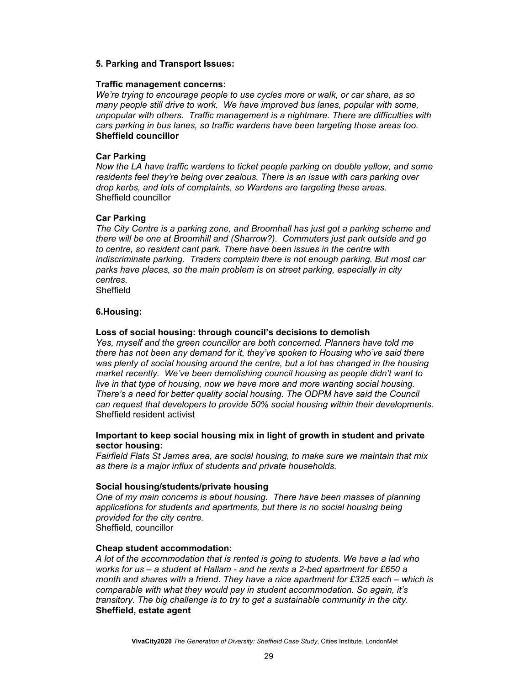#### **5. Parking and Transport Issues:**

#### **Traffic management concerns:**

*We're trying to encourage people to use cycles more or walk, or car share, as so many people still drive to work. We have improved bus lanes, popular with some, unpopular with others. Traffic management is a nightmare. There are difficulties with cars parking in bus lanes, so traffic wardens have been targeting those areas too.*  **Sheffield councillor** 

#### **Car Parking**

*Now the LA have traffic wardens to ticket people parking on double yellow, and some residents feel they're being over zealous. There is an issue with cars parking over drop kerbs, and lots of complaints, so Wardens are targeting these areas.*  Sheffield councillor

#### **Car Parking**

*The City Centre is a parking zone, and Broomhall has just got a parking scheme and there will be one at Broomhill and (Sharrow?). Commuters just park outside and go to centre, so resident cant park. There have been issues in the centre with indiscriminate parking. Traders complain there is not enough parking. But most car parks have places, so the main problem is on street parking, especially in city centres.*  Sheffield

#### **6.Housing:**

#### **Loss of social housing: through council's decisions to demolish**

*Yes, myself and the green councillor are both concerned. Planners have told me there has not been any demand for it, they've spoken to Housing who've said there was plenty of social housing around the centre, but a lot has changed in the housing market recently. We've been demolishing council housing as people didn't want to live in that type of housing, now we have more and more wanting social housing. There's a need for better quality social housing. The ODPM have said the Council can request that developers to provide 50% social housing within their developments.*  Sheffield resident activist

#### **Important to keep social housing mix in light of growth in student and private sector housing:**

*Fairfield Flats St James area, are social housing, to make sure we maintain that mix as there is a major influx of students and private households.* 

#### **Social housing/students/private housing**

*One of my main concerns is about housing. There have been masses of planning applications for students and apartments, but there is no social housing being provided for the city centre.*  Sheffield, councillor

#### **Cheap student accommodation:**

*A lot of the accommodation that is rented is going to students. We have a lad who works for us – a student at Hallam - and he rents a 2-bed apartment for £650 a month and shares with a friend. They have a nice apartment for £325 each – which is comparable with what they would pay in student accommodation. So again, it's transitory. The big challenge is to try to get a sustainable community in the city.*  **Sheffield, estate agent**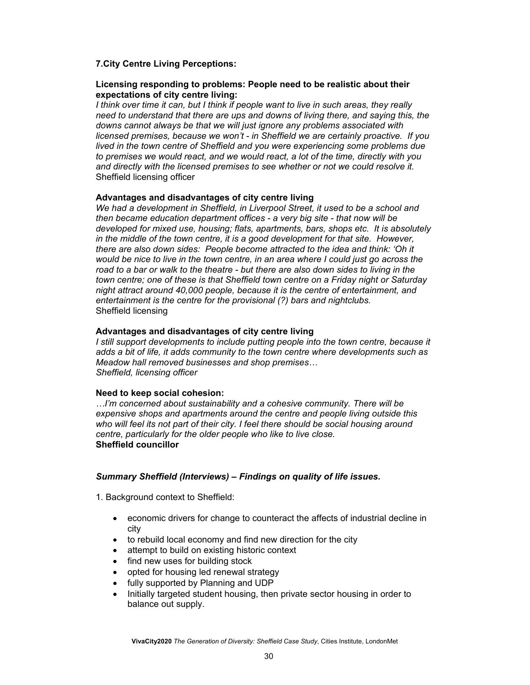#### **7.City Centre Living Perceptions:**

#### **Licensing responding to problems: People need to be realistic about their expectations of city centre living:**

*I think over time it can, but I think if people want to live in such areas, they really need to understand that there are ups and downs of living there, and saying this, the downs cannot always be that we will just ignore any problems associated with licensed premises, because we won't - in Sheffield we are certainly proactive. If you lived in the town centre of Sheffield and you were experiencing some problems due to premises we would react, and we would react, a lot of the time, directly with you and directly with the licensed premises to see whether or not we could resolve it.*  Sheffield licensing officer

#### **Advantages and disadvantages of city centre living**

*We had a development in Sheffield, in Liverpool Street, it used to be a school and then became education department offices - a very big site - that now will be developed for mixed use, housing; flats, apartments, bars, shops etc. It is absolutely in the middle of the town centre, it is a good development for that site. However, there are also down sides: People become attracted to the idea and think: 'Oh it would be nice to live in the town centre, in an area where I could just go across the road to a bar or walk to the theatre - but there are also down sides to living in the town centre; one of these is that Sheffield town centre on a Friday night or Saturday night attract around 40,000 people, because it is the centre of entertainment, and entertainment is the centre for the provisional (?) bars and nightclubs.*  Sheffield licensing

#### **Advantages and disadvantages of city centre living**

*I* still support developments to include putting people into the town centre, because it *adds a bit of life, it adds community to the town centre where developments such as Meadow hall removed businesses and shop premises… Sheffield, licensing officer* 

#### **Need to keep social cohesion:**

*…I'm concerned about sustainability and a cohesive community. There will be expensive shops and apartments around the centre and people living outside this who will feel its not part of their city. I feel there should be social housing around centre, particularly for the older people who like to live close.*  **Sheffield councillor** 

#### *Summary Sheffield (Interviews) – Findings on quality of life issues.*

1. Background context to Sheffield:

- economic drivers for change to counteract the affects of industrial decline in city
- to rebuild local economy and find new direction for the city
- attempt to build on existing historic context
- find new uses for building stock
- opted for housing led renewal strategy
- fully supported by Planning and UDP
- Initially targeted student housing, then private sector housing in order to balance out supply.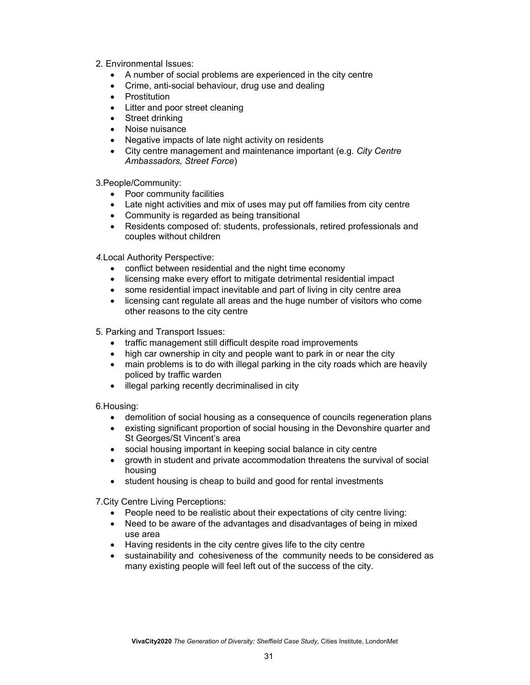- 2. Environmental Issues:
	- A number of social problems are experienced in the city centre
	- Crime, anti-social behaviour, drug use and dealing
	- Prostitution
	- Litter and poor street cleaning
	- Street drinking
	- Noise nuisance
	- Negative impacts of late night activity on residents
	- City centre management and maintenance important (e.g. *City Centre Ambassadors, Street Force*)

3.People/Community:

- Poor community facilities
- Late night activities and mix of uses may put off families from city centre
- Community is regarded as being transitional
- Residents composed of: students, professionals, retired professionals and couples without children

*4.*Local Authority Perspective:

- conflict between residential and the night time economy
- licensing make every effort to mitigate detrimental residential impact
- some residential impact inevitable and part of living in city centre area
- licensing cant regulate all areas and the huge number of visitors who come other reasons to the city centre
- 5. Parking and Transport Issues:
	- traffic management still difficult despite road improvements
	- high car ownership in city and people want to park in or near the city
	- main problems is to do with illegal parking in the city roads which are heavily policed by traffic warden
	- illegal parking recently decriminalised in city

6.Housing:

- demolition of social housing as a consequence of councils regeneration plans
- existing significant proportion of social housing in the Devonshire quarter and St Georges/St Vincent's area
- social housing important in keeping social balance in city centre
- growth in student and private accommodation threatens the survival of social housing
- student housing is cheap to build and good for rental investments

7.City Centre Living Perceptions:

- People need to be realistic about their expectations of city centre living:
- Need to be aware of the advantages and disadvantages of being in mixed use area
- Having residents in the city centre gives life to the city centre
- sustainability and cohesiveness of the community needs to be considered as many existing people will feel left out of the success of the city.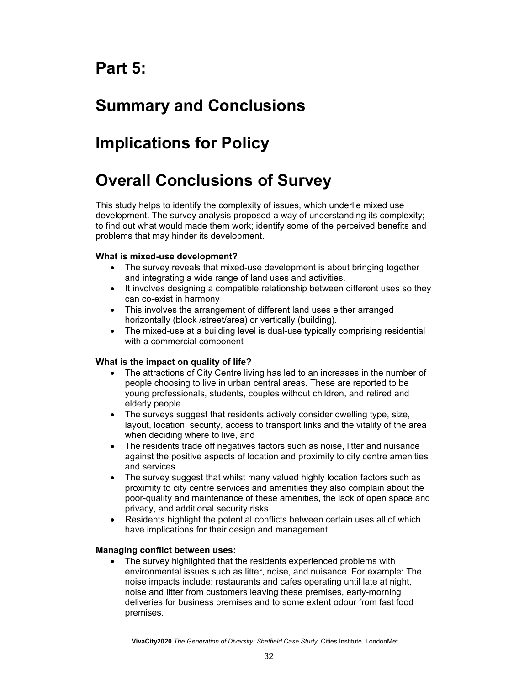# **Part 5:**

# **Summary and Conclusions**

# **Implications for Policy**

# **Overall Conclusions of Survey**

This study helps to identify the complexity of issues, which underlie mixed use development. The survey analysis proposed a way of understanding its complexity; to find out what would made them work; identify some of the perceived benefits and problems that may hinder its development.

#### **What is mixed-use development?**

- The survey reveals that mixed-use development is about bringing together and integrating a wide range of land uses and activities.
- It involves designing a compatible relationship between different uses so they can co-exist in harmony
- This involves the arrangement of different land uses either arranged horizontally (block /street/area) or vertically (building).
- The mixed-use at a building level is dual-use typically comprising residential with a commercial component

## **What is the impact on quality of life?**

- The attractions of City Centre living has led to an increases in the number of people choosing to live in urban central areas. These are reported to be young professionals, students, couples without children, and retired and elderly people.
- The surveys suggest that residents actively consider dwelling type, size, layout, location, security, access to transport links and the vitality of the area when deciding where to live, and
- The residents trade off negatives factors such as noise, litter and nuisance against the positive aspects of location and proximity to city centre amenities and services
- The survey suggest that whilst many valued highly location factors such as proximity to city centre services and amenities they also complain about the poor-quality and maintenance of these amenities, the lack of open space and privacy, and additional security risks.
- Residents highlight the potential conflicts between certain uses all of which have implications for their design and management

#### **Managing conflict between uses:**

• The survey highlighted that the residents experienced problems with environmental issues such as litter, noise, and nuisance. For example: The noise impacts include: restaurants and cafes operating until late at night, noise and litter from customers leaving these premises, early-morning deliveries for business premises and to some extent odour from fast food premises.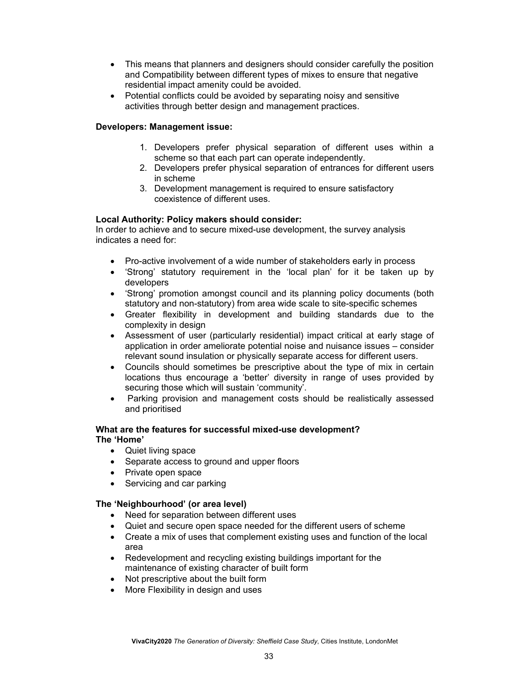- This means that planners and designers should consider carefully the position and Compatibility between different types of mixes to ensure that negative residential impact amenity could be avoided.
- Potential conflicts could be avoided by separating noisy and sensitive activities through better design and management practices.

#### **Developers: Management issue:**

- 1. Developers prefer physical separation of different uses within a scheme so that each part can operate independently.
- 2. Developers prefer physical separation of entrances for different users in scheme
- 3. Development management is required to ensure satisfactory coexistence of different uses.

#### **Local Authority: Policy makers should consider:**

In order to achieve and to secure mixed-use development, the survey analysis indicates a need for:

- Pro-active involvement of a wide number of stakeholders early in process
- 'Strong' statutory requirement in the 'local plan' for it be taken up by developers
- 'Strong' promotion amongst council and its planning policy documents (both statutory and non-statutory) from area wide scale to site-specific schemes
- Greater flexibility in development and building standards due to the complexity in design
- Assessment of user (particularly residential) impact critical at early stage of application in order ameliorate potential noise and nuisance issues – consider relevant sound insulation or physically separate access for different users.
- Councils should sometimes be prescriptive about the type of mix in certain locations thus encourage a 'better' diversity in range of uses provided by securing those which will sustain 'community'.
- Parking provision and management costs should be realistically assessed and prioritised

#### **What are the features for successful mixed-use development? The 'Home'**

- Quiet living space
- Separate access to ground and upper floors
- Private open space
- Servicing and car parking

#### **The 'Neighbourhood' (or area level)**

- Need for separation between different uses
- Quiet and secure open space needed for the different users of scheme
- Create a mix of uses that complement existing uses and function of the local area
- Redevelopment and recycling existing buildings important for the maintenance of existing character of built form
- Not prescriptive about the built form
- More Flexibility in design and uses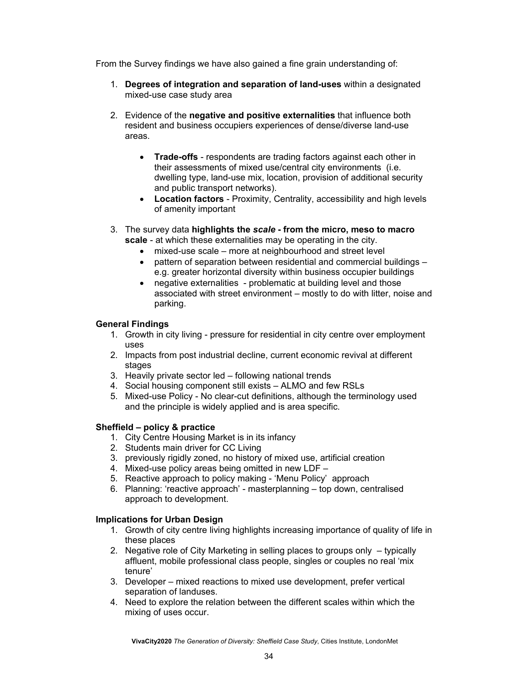From the Survey findings we have also gained a fine grain understanding of:

- 1. **Degrees of integration and separation of land-uses** within a designated mixed-use case study area
- 2. Evidence of the **negative and positive externalities** that influence both resident and business occupiers experiences of dense/diverse land-use areas.
	- **Trade-offs** respondents are trading factors against each other in their assessments of mixed use/central city environments (i.e. dwelling type, land-use mix, location, provision of additional security and public transport networks).
	- **Location factors** Proximity, Centrality, accessibility and high levels of amenity important
- 3. The survey data **highlights the** *scale* **from the micro, meso to macro scale** - at which these externalities may be operating in the city.
	- mixed-use scale more at neighbourhood and street level
		- pattern of separation between residential and commercial buildings e.g. greater horizontal diversity within business occupier buildings
	- negative externalities problematic at building level and those associated with street environment – mostly to do with litter, noise and parking.

#### **General Findings**

- 1. Growth in city living pressure for residential in city centre over employment uses
- 2. Impacts from post industrial decline, current economic revival at different stages
- 3. Heavily private sector led following national trends
- 4. Social housing component still exists ALMO and few RSLs
- 5. Mixed-use Policy No clear-cut definitions, although the terminology used and the principle is widely applied and is area specific.

#### **Sheffield – policy & practice**

- 1. City Centre Housing Market is in its infancy
- 2. Students main driver for CC Living
- 3. previously rigidly zoned, no history of mixed use, artificial creation
- 4. Mixed-use policy areas being omitted in new LDF –
- 5. Reactive approach to policy making 'Menu Policy' approach
- 6. Planning: 'reactive approach' masterplanning top down, centralised approach to development.

#### **Implications for Urban Design**

- 1. Growth of city centre living highlights increasing importance of quality of life in these places
- 2. Negative role of City Marketing in selling places to groups only typically affluent, mobile professional class people, singles or couples no real 'mix tenure'
- 3. Developer mixed reactions to mixed use development, prefer vertical separation of landuses.
- 4. Need to explore the relation between the different scales within which the mixing of uses occur.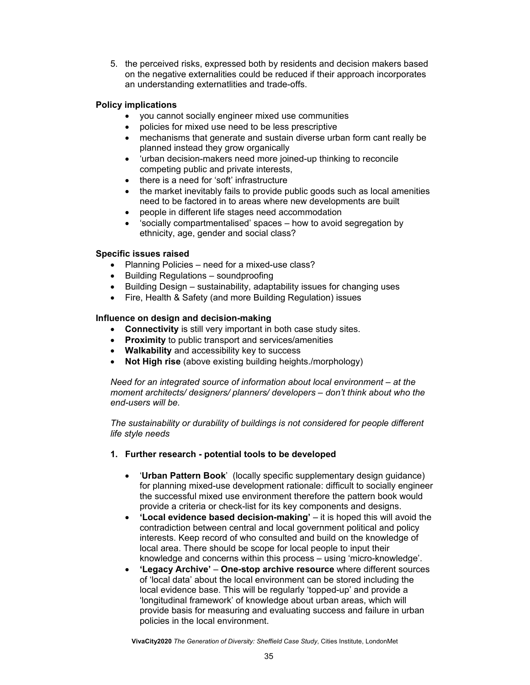5. the perceived risks, expressed both by residents and decision makers based on the negative externalities could be reduced if their approach incorporates an understanding externatlities and trade-offs.

#### **Policy implications**

- you cannot socially engineer mixed use communities
- policies for mixed use need to be less prescriptive
- mechanisms that generate and sustain diverse urban form cant really be planned instead they grow organically
- 'urban decision-makers need more joined-up thinking to reconcile competing public and private interests,
- there is a need for 'soft' infrastructure
- the market inevitably fails to provide public goods such as local amenities need to be factored in to areas where new developments are built
- people in different life stages need accommodation
- 'socially compartmentalised' spaces how to avoid segregation by ethnicity, age, gender and social class?

#### **Specific issues raised**

- Planning Policies need for a mixed-use class?
- Building Regulations soundproofing
- Building Design sustainability, adaptability issues for changing uses
- Fire, Health & Safety (and more Building Regulation) issues

#### **Influence on design and decision-making**

- **Connectivity** is still very important in both case study sites.
- **Proximity** to public transport and services/amenities
- **Walkability** and accessibility key to success
- **Not High rise** (above existing building heights./morphology)

*Need for an integrated source of information about local environment – at the moment architects/ designers/ planners/ developers – don't think about who the end-users will be.* 

*The sustainability or durability of buildings is not considered for people different life style needs* 

- **1. Further research potential tools to be developed** 
	- '**Urban Pattern Book**' (locally specific supplementary design guidance) for planning mixed-use development rationale: difficult to socially engineer the successful mixed use environment therefore the pattern book would provide a criteria or check-list for its key components and designs.
	- **'Local evidence based decision-making'** it is hoped this will avoid the contradiction between central and local government political and policy interests. Keep record of who consulted and build on the knowledge of local area. There should be scope for local people to input their knowledge and concerns within this process – using 'micro-knowledge'.
	- **'Legacy Archive' One-stop archive resource** where different sources of 'local data' about the local environment can be stored including the local evidence base. This will be regularly 'topped-up' and provide a 'longitudinal framework' of knowledge about urban areas, which will provide basis for measuring and evaluating success and failure in urban policies in the local environment.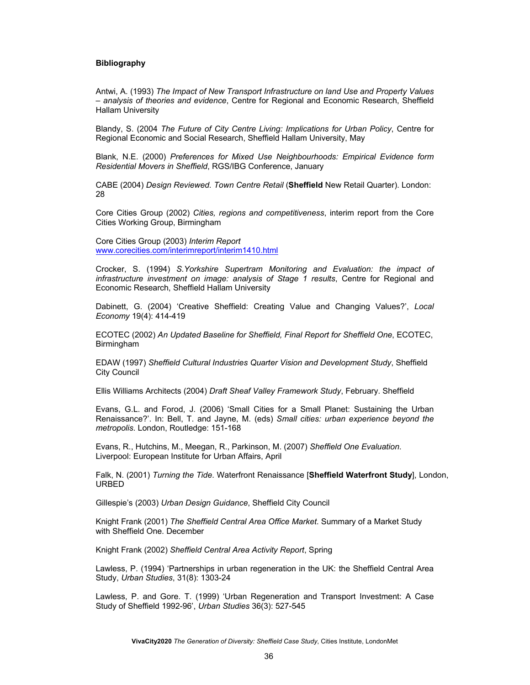#### **Bibliography**

Antwi, A. (1993) *The Impact of New Transport Infrastructure on land Use and Property Values – analysis of theories and evidence*, Centre for Regional and Economic Research, Sheffield Hallam University

Blandy, S. (2004 *The Future of City Centre Living: Implications for Urban Policy*, Centre for Regional Economic and Social Research, Sheffield Hallam University, May

Blank, N.E. (2000) *Preferences for Mixed Use Neighbourhoods: Empirical Evidence form Residential Movers in Sheffield*, RGS/IBG Conference, January

CABE (2004) *Design Reviewed. Town Centre Retail* (**Sheffield** New Retail Quarter). London: 28

Core Cities Group (2002) *Cities, regions and competitiveness*, interim report from the Core Cities Working Group, Birmingham

Core Cities Group (2003) *Interim Report* www.corecities.com/interimreport/interim1410.html

Crocker, S. (1994) *S.Yorkshire Supertram Monitoring and Evaluation: the impact of infrastructure investment on image: analysis of Stage 1 results*, Centre for Regional and Economic Research, Sheffield Hallam University

Dabinett, G. (2004) 'Creative Sheffield: Creating Value and Changing Values?', *Local Economy* 19(4): 414-419

ECOTEC (2002) *An Updated Baseline for Sheffield, Final Report for Sheffield One*, ECOTEC, Birmingham

EDAW (1997) *Sheffield Cultural Industries Quarter Vision and Development Study*, Sheffield City Council

Ellis Williams Architects (2004) *Draft Sheaf Valley Framework Study*, February. Sheffield

Evans, G.L. and Forod, J. (2006) 'Small Cities for a Small Planet: Sustaining the Urban Renaissance?'. In: Bell, T. and Jayne, M. (eds) *Small cities: urban experience beyond the metropolis*. London, Routledge: 151-168

Evans, R., Hutchins, M., Meegan, R., Parkinson, M. (2007) *Sheffield One Evaluation*. Liverpool: European Institute for Urban Affairs, April

Falk, N. (2001) *Turning the Tide*. Waterfront Renaissance [**Sheffield Waterfront Study**], London, URBED

Gillespie's (2003) *Urban Design Guidance*, Sheffield City Council

Knight Frank (2001) *The Sheffield Central Area Office Market*. Summary of a Market Study with Sheffield One. December

Knight Frank (2002) *Sheffield Central Area Activity Report*, Spring

Lawless, P. (1994) 'Partnerships in urban regeneration in the UK: the Sheffield Central Area Study, *Urban Studies*, 31(8): 1303-24

Lawless, P. and Gore. T. (1999) 'Urban Regeneration and Transport Investment: A Case Study of Sheffield 1992-96', *Urban Studies* 36(3): 527-545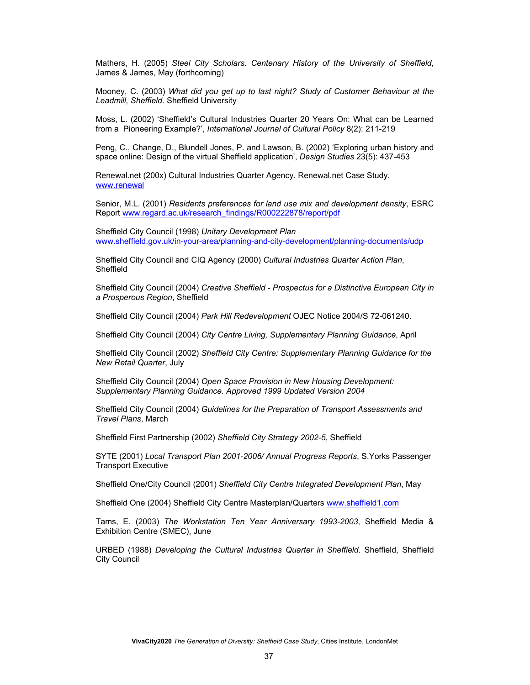Mathers, H. (2005) *Steel City Scholars. Centenary History of the University of Sheffield*, James & James, May (forthcoming)

Mooney, C. (2003) *What did you get up to last night? Study of Customer Behaviour at the Leadmill, Sheffield.* Sheffield University

Moss, L. (2002) 'Sheffield's Cultural Industries Quarter 20 Years On: What can be Learned from a Pioneering Example?', *International Journal of Cultural Policy* 8(2): 211-219

Peng, C., Change, D., Blundell Jones, P. and Lawson, B. (2002) 'Exploring urban history and space online: Design of the virtual Sheffield application', *Design Studies* 23(5): 437-453

Renewal.net (200x) Cultural Industries Quarter Agency. Renewal.net Case Study. www.renewal

Senior, M.L. (2001) *Residents preferences for land use mix and development density*, ESRC Report www.regard.ac.uk/research\_findings/R000222878/report/pdf

Sheffield City Council (1998) *Unitary Development Plan* www.sheffield.gov.uk/in-your-area/planning-and-city-development/planning-documents/udp

Sheffield City Council and CIQ Agency (2000) *Cultural Industries Quarter Action Plan*, Sheffield

Sheffield City Council (2004) *Creative Sheffield - Prospectus for a Distinctive European City in a Prosperous Region*, Sheffield

Sheffield City Council (2004) *Park Hill Redevelopment* OJEC Notice 2004/S 72-061240.

Sheffield City Council (2004) *City Centre Living, Supplementary Planning Guidance*, April

Sheffield City Council (2002) *Sheffield City Centre: Supplementary Planning Guidance for the New Retail Quarter*, July

Sheffield City Council (2004) *Open Space Provision in New Housing Development: Supplementary Planning Guidance. Approved 1999 Updated Version 2004*

Sheffield City Council (2004) *Guidelines for the Preparation of Transport Assessments and Travel Plans*, March

Sheffield First Partnership (2002) *Sheffield City Strategy 2002-5*, Sheffield

SYTE (2001) *Local Transport Plan 2001-2006/ Annual Progress Reports*, S.Yorks Passenger Transport Executive

Sheffield One/City Council (2001) *Sheffield City Centre Integrated Development Plan*, May

Sheffield One (2004) Sheffield City Centre Masterplan/Quarters www.sheffield1.com

Tams, E. (2003) *The Workstation Ten Year Anniversary 1993-2003*, Sheffield Media & Exhibition Centre (SMEC), June

URBED (1988) *Developing the Cultural Industries Quarter in Sheffield*. Sheffield, Sheffield City Council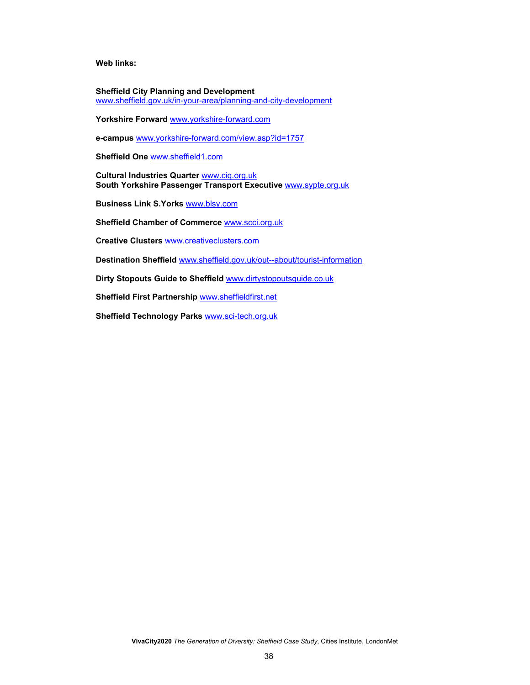**Web links:** 

**Sheffield City Planning and Development** www.sheffield.gov.uk/in-your-area/planning-and-city-development

**Yorkshire Forward** www.yorkshire-forward.com

**e-campus** www.yorkshire-forward.com/view.asp?id=1757

**Sheffield One** www.sheffield1.com

**Cultural Industries Quarter** www.ciq.org.uk **South Yorkshire Passenger Transport Executive** www.sypte.org.uk

**Business Link S.Yorks** www.blsy.com

**Sheffield Chamber of Commerce** www.scci.org.uk

**Creative Clusters** www.creativeclusters.com

**Destination Sheffield** www.sheffield.gov.uk/out--about/tourist-information

**Dirty Stopouts Guide to Sheffield** www.dirtystopoutsguide.co.uk

**Sheffield First Partnership** www.sheffieldfirst.net

**Sheffield Technology Parks** www.sci-tech.org.uk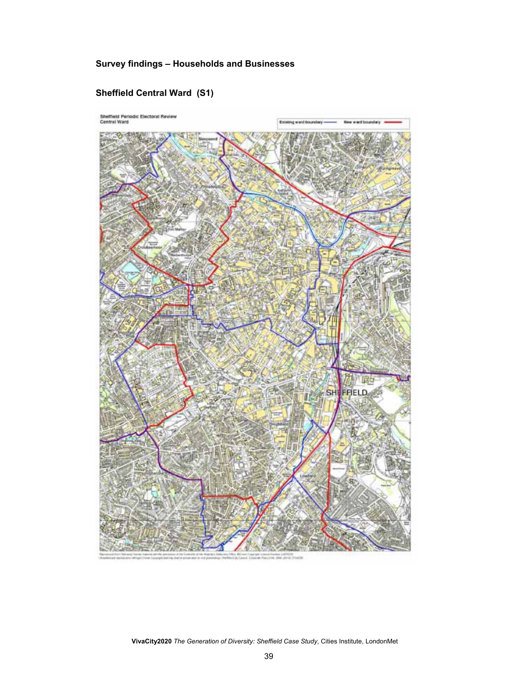## **Survey findings – Households and Businesses**

## **Sheffield Central Ward (S1)**

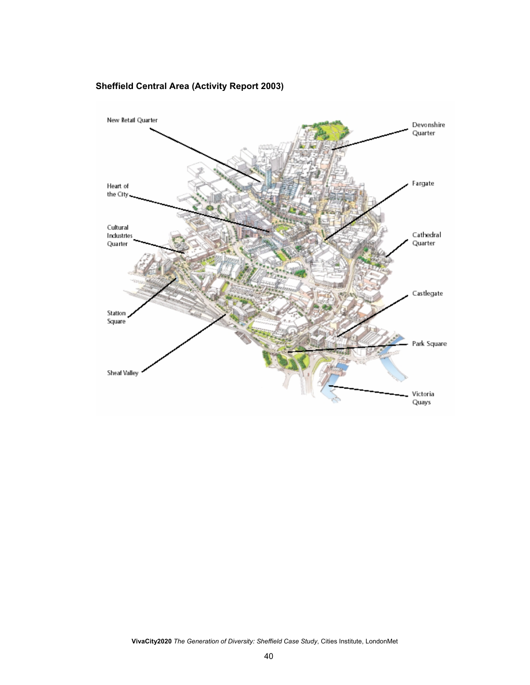## **Sheffield Central Area (Activity Report 2003)**

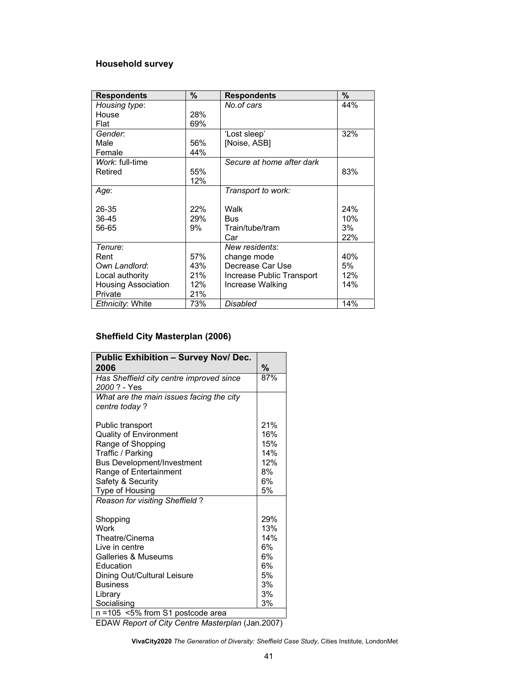## **Household survey**

| <b>Respondents</b>         | $\%$ | <b>Respondents</b>        | $\%$ |
|----------------------------|------|---------------------------|------|
| Housing type:              |      | No.of cars                | 44%  |
| House                      | 28%  |                           |      |
| Flat                       | 69%  |                           |      |
| Gender.                    |      | 'Lost sleep'              | 32%  |
| Male                       | 56%  | [Noise, ASB]              |      |
| Female                     | 44%  |                           |      |
| Work: full-time            |      | Secure at home after dark |      |
| Retired                    | 55%  |                           | 83%  |
|                            | 12%  |                           |      |
| Age:                       |      | Transport to work:        |      |
|                            |      |                           |      |
| 26-35                      | 22%  | Walk                      | 24%  |
| 36-45                      | 29%  | Bus                       | 10%  |
| 56-65                      | 9%   | Train/tube/tram           | 3%   |
|                            |      | Car                       | 22%  |
| Tenure:                    |      | New residents:            |      |
| Rent                       | 57%  | change mode               | 40%  |
| Own Landlord:              | 43%  | Decrease Car Use          | 5%   |
| Local authority            | 21%  | Increase Public Transport | 12%  |
| <b>Housing Association</b> | 12%  | Increase Walking          | 14%  |
| Private                    | 21%  |                           |      |
| Ethnicity: White           | 73%  | Disabled                  | 14%  |

## **Sheffield City Masterplan (2006)**

| <b>Public Exhibition - Survey Nov/ Dec.</b> |     |
|---------------------------------------------|-----|
| 2006                                        | %   |
| Has Sheffield city centre improved since    | 87% |
| 2000? - Yes                                 |     |
| What are the main issues facing the city    |     |
| centre today?                               |     |
|                                             |     |
| Public transport                            | 21% |
| Quality of Environment                      | 16% |
| Range of Shopping                           | 15% |
| Traffic / Parking                           | 14% |
| Bus Development/Investment                  | 12% |
| Range of Entertainment                      | 8%  |
| Safety & Security                           | 6%  |
| Type of Housing                             | 5%  |
| Reason for visiting Sheffield?              |     |
| Shopping                                    | 29% |
| Work                                        | 13% |
| Theatre/Cinema                              | 14% |
| Live in centre                              | 6%  |
| Galleries & Museums                         | 6%  |
| Education                                   | 6%  |
| Dining Out/Cultural Leisure                 | 5%  |
| <b>Business</b>                             | 3%  |
| Library                                     | 3%  |
| Socialising                                 | 3%  |
| n =105 <5% from S1 postcode area            |     |

EDAW *Report of City Centre Masterplan* (Jan.2007)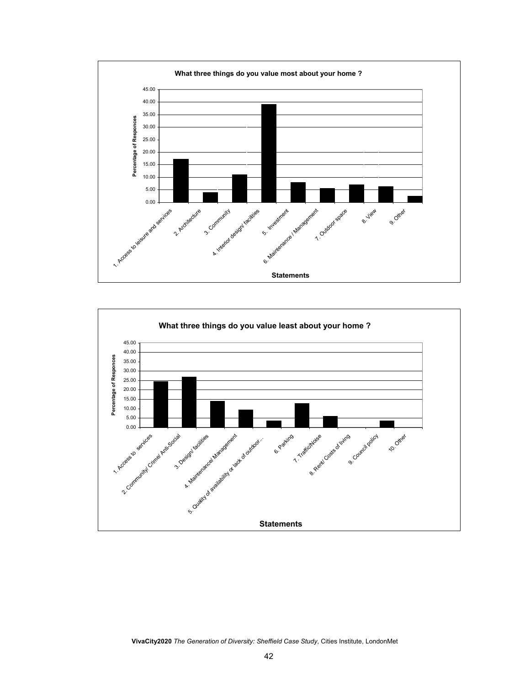

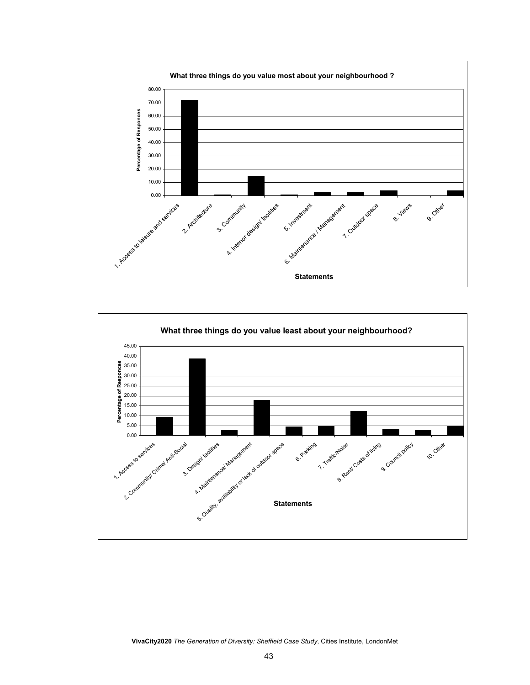

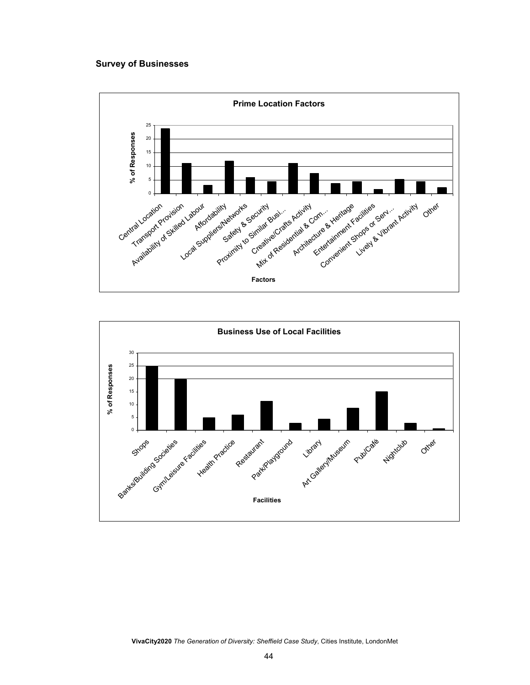#### **Survey of Businesses**